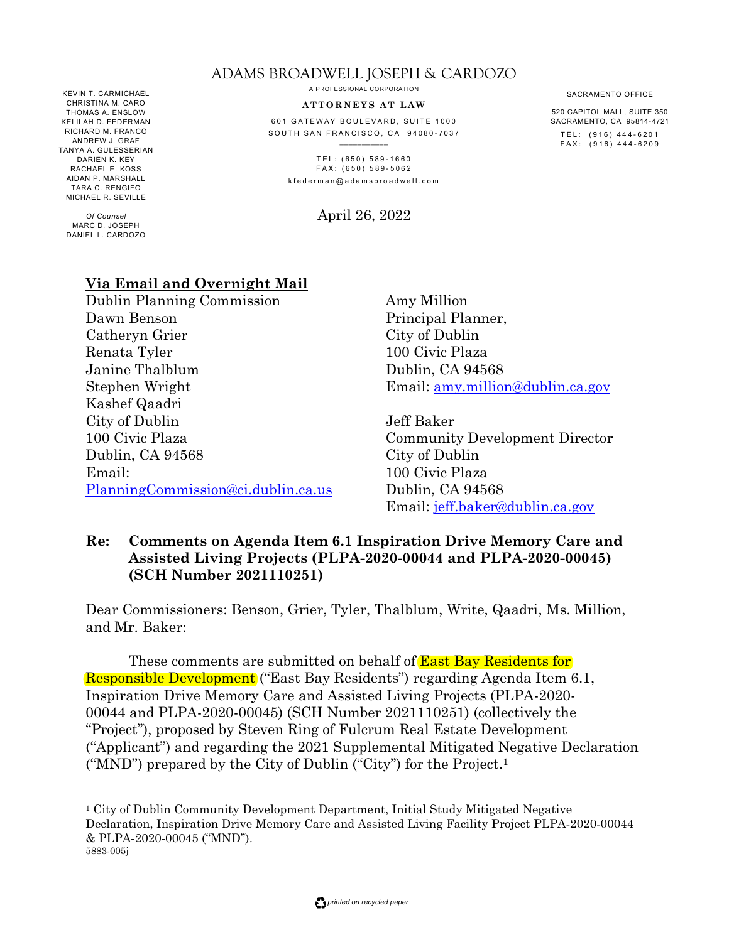#### ADAMS BROADWELL JOSEPH & CARDOZO

KEVIN T. CARMICHAEL CHRISTINA M. CARO THOMAS A. ENSLOW KELILAH D. FEDERMAN RICHARD M. FRANCO ANDREW J. GRAF TANYA A. GULESSERIAN DARIEN K. KEY RACHAEL E. KOSS AIDAN P. MARSHALL TARA C. RENGIFO MICHAEL R. SEVILLE

*Of Counsel* MARC D. JOSEPH DANIEL L. CARDOZO A PROFESSIONAL CORPORATION

#### **A T T O RN E Y S A T L A W**

601 GATEWAY BOULEVARD, SUITE 1000 SOUTH SAN FRANCISCO, CA 94080-7037

> $TEL: (650) 589-1660$ FAX: (650) 589-5062 k f e d e r m a n @ a d a m s b r o a d w e l l . c o m

> > April 26, 2022

#### **Via Email and Overnight Mail**

Dublin Planning Commission Dawn Benson Catheryn Grier Renata Tyler Janine Thalblum Stephen Wright Kashef Qaadri City of Dublin 100 Civic Plaza Dublin, CA 94568 Email: PlanningCommission@ci.dublin.ca.us Amy Million Principal Planner, City of Dublin 100 Civic Plaza Dublin, CA 94568 Email: amy.million@dublin.ca.gov

Jeff Baker Community Development Director City of Dublin 100 Civic Plaza Dublin, CA 94568 Email: jeff.baker@dublin.ca.gov

#### **Re: Comments on Agenda Item 6.1 Inspiration Drive Memory Care and Assisted Living Projects (PLPA-2020-00044 and PLPA-2020-00045) (SCH Number 2021110251)**

Dear Commissioners: Benson, Grier, Tyler, Thalblum, Write, Qaadri, Ms. Million, and Mr. Baker:

These comments are submitted on behalf of **East Bay Residents for** Responsible Development ("East Bay Residents") regarding Agenda Item 6.1, Inspiration Drive Memory Care and Assisted Living Projects (PLPA-2020- 00044 and PLPA-2020-00045) (SCH Number 2021110251) (collectively the "Project"), proposed by Steven Ring of Fulcrum Real Estate Development ("Applicant") and regarding the 2021 Supplemental Mitigated Negative Declaration ("MND") prepared by the City of Dublin ("City") for the Project. 1

SACRAMENTO OFFICE

520 CAPITOL MALL, SUITE 350 SACRAMENTO, CA 95814-4721 TEL: (916) 444-6201 FAX: (916) 444-6209

<sup>5883-005</sup>j <sup>1</sup> City of Dublin Community Development Department, Initial Study Mitigated Negative Declaration, Inspiration Drive Memory Care and Assisted Living Facility Project PLPA-2020-00044 & PLPA‐2020‐00045 ("MND").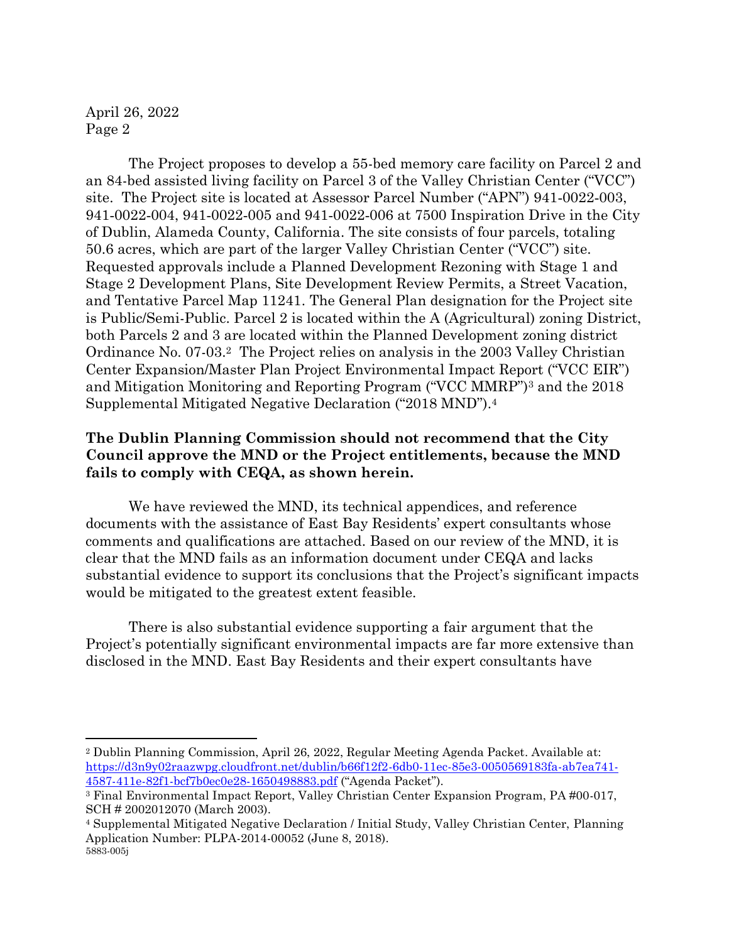The Project proposes to develop a 55-bed memory care facility on Parcel 2 and an 84-bed assisted living facility on Parcel 3 of the Valley Christian Center ("VCC") site. The Project site is located at Assessor Parcel Number ("APN") 941‐0022‐003, 941‐0022‐004, 941‐0022‐005 and 941‐0022‐006 at 7500 Inspiration Drive in the City of Dublin, Alameda County, California. The site consists of four parcels, totaling 50.6 acres, which are part of the larger Valley Christian Center ("VCC") site. Requested approvals include a Planned Development Rezoning with Stage 1 and Stage 2 Development Plans, Site Development Review Permits, a Street Vacation, and Tentative Parcel Map 11241. The General Plan designation for the Project site is Public/Semi-Public. Parcel 2 is located within the A (Agricultural) zoning District, both Parcels 2 and 3 are located within the Planned Development zoning district Ordinance No. 07-03.<sup>2</sup> The Project relies on analysis in the 2003 Valley Christian Center Expansion/Master Plan Project Environmental Impact Report ("VCC EIR") and Mitigation Monitoring and Reporting Program ("VCC MMRP")<sup>3</sup> and the 2018 Supplemental Mitigated Negative Declaration ("2018 MND").<sup>4</sup>

#### **The Dublin Planning Commission should not recommend that the City Council approve the MND or the Project entitlements, because the MND fails to comply with CEQA, as shown herein.**

We have reviewed the MND, its technical appendices, and reference documents with the assistance of East Bay Residents' expert consultants whose comments and qualifications are attached. Based on our review of the MND, it is clear that the MND fails as an information document under CEQA and lacks substantial evidence to support its conclusions that the Project's significant impacts would be mitigated to the greatest extent feasible.

There is also substantial evidence supporting a fair argument that the Project's potentially significant environmental impacts are far more extensive than disclosed in the MND. East Bay Residents and their expert consultants have

<sup>2</sup> Dublin Planning Commission, April 26, 2022, Regular Meeting Agenda Packet. Available at: https://d3n9y02raazwpg.cloudfront.net/dublin/b66f12f2-6db0-11ec-85e3-0050569183fa-ab7ea741- 4587-411e-82f1-bcf7b0ec0e28-1650498883.pdf ("Agenda Packet").

<sup>3</sup> Final Environmental Impact Report, Valley Christian Center Expansion Program, PA #00-017, SCH # 2002012070 (March 2003).

<sup>5883-005</sup>j <sup>4</sup> Supplemental Mitigated Negative Declaration / Initial Study, Valley Christian Center, Planning Application Number: PLPA-2014-00052 (June 8, 2018).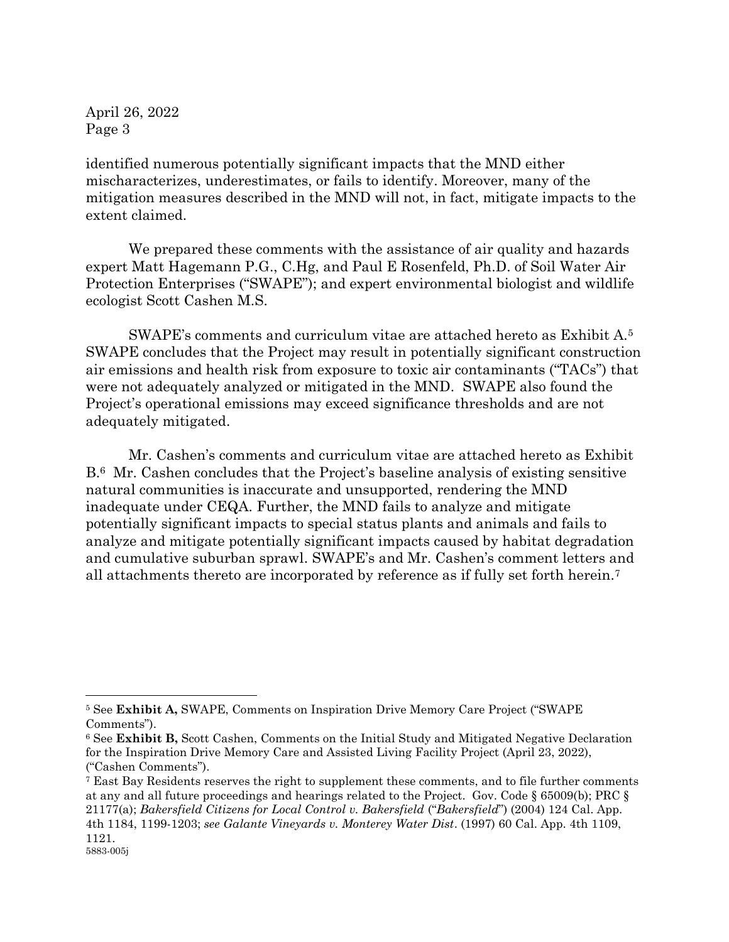identified numerous potentially significant impacts that the MND either mischaracterizes, underestimates, or fails to identify. Moreover, many of the mitigation measures described in the MND will not, in fact, mitigate impacts to the extent claimed.

We prepared these comments with the assistance of air quality and hazards expert Matt Hagemann P.G., C.Hg, and Paul E Rosenfeld, Ph.D. of Soil Water Air Protection Enterprises ("SWAPE"); and expert environmental biologist and wildlife ecologist Scott Cashen M.S.

SWAPE's comments and curriculum vitae are attached hereto as Exhibit A.<sup>5</sup> SWAPE concludes that the Project may result in potentially significant construction air emissions and health risk from exposure to toxic air contaminants ("TACs") that were not adequately analyzed or mitigated in the MND. SWAPE also found the Project's operational emissions may exceed significance thresholds and are not adequately mitigated.

Mr. Cashen's comments and curriculum vitae are attached hereto as Exhibit B.6 Mr. Cashen concludes that the Project's baseline analysis of existing sensitive natural communities is inaccurate and unsupported, rendering the MND inadequate under CEQA. Further, the MND fails to analyze and mitigate potentially significant impacts to special status plants and animals and fails to analyze and mitigate potentially significant impacts caused by habitat degradation and cumulative suburban sprawl. SWAPE's and Mr. Cashen's comment letters and all attachments thereto are incorporated by reference as if fully set forth herein.<sup>7</sup>

<sup>5</sup> See **Exhibit A,** SWAPE, Comments on Inspiration Drive Memory Care Project ("SWAPE Comments").

<sup>6</sup> See **Exhibit B,** Scott Cashen, Comments on the Initial Study and Mitigated Negative Declaration for the Inspiration Drive Memory Care and Assisted Living Facility Project (April 23, 2022), ("Cashen Comments").

<sup>5883-005</sup>j <sup>7</sup> East Bay Residents reserves the right to supplement these comments, and to file further comments at any and all future proceedings and hearings related to the Project. Gov. Code § 65009(b); PRC § 21177(a); *Bakersfield Citizens for Local Control v. Bakersfield* ("*Bakersfield*") (2004) 124 Cal. App. 4th 1184, 1199-1203; *see Galante Vineyards v. Monterey Water Dist*. (1997) 60 Cal. App. 4th 1109, 1121.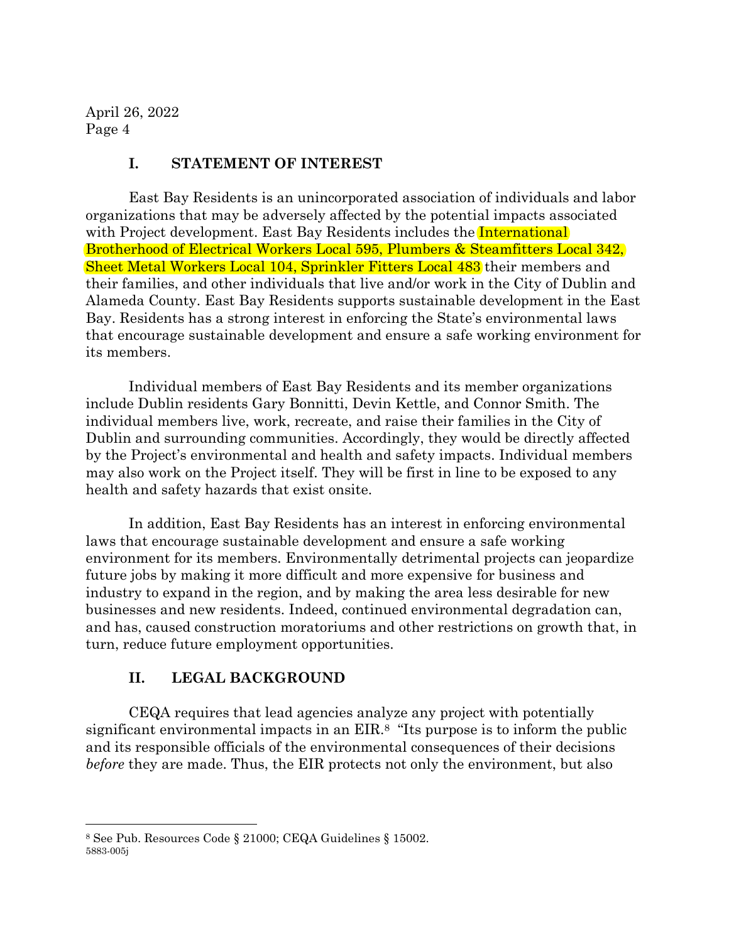#### **I. STATEMENT OF INTEREST**

East Bay Residents is an unincorporated association of individuals and labor organizations that may be adversely affected by the potential impacts associated with Project development. East Bay Residents includes the **International** Brotherhood of Electrical Workers Local 595, Plumbers & Steamfitters Local 342, Sheet Metal Workers Local 104, Sprinkler Fitters Local 483 their members and their families, and other individuals that live and/or work in the City of Dublin and Alameda County. East Bay Residents supports sustainable development in the East Bay. Residents has a strong interest in enforcing the State's environmental laws that encourage sustainable development and ensure a safe working environment for its members.

Individual members of East Bay Residents and its member organizations include Dublin residents Gary Bonnitti, Devin Kettle, and Connor Smith. The individual members live, work, recreate, and raise their families in the City of Dublin and surrounding communities. Accordingly, they would be directly affected by the Project's environmental and health and safety impacts. Individual members may also work on the Project itself. They will be first in line to be exposed to any health and safety hazards that exist onsite.

In addition, East Bay Residents has an interest in enforcing environmental laws that encourage sustainable development and ensure a safe working environment for its members. Environmentally detrimental projects can jeopardize future jobs by making it more difficult and more expensive for business and industry to expand in the region, and by making the area less desirable for new businesses and new residents. Indeed, continued environmental degradation can, and has, caused construction moratoriums and other restrictions on growth that, in turn, reduce future employment opportunities.

# **II. LEGAL BACKGROUND**

CEQA requires that lead agencies analyze any project with potentially significant environmental impacts in an EIR.<sup>8</sup> "Its purpose is to inform the public and its responsible officials of the environmental consequences of their decisions *before* they are made. Thus, the EIR protects not only the environment, but also

<sup>5883-005</sup>j <sup>8</sup> See Pub. Resources Code § 21000; CEQA Guidelines § 15002.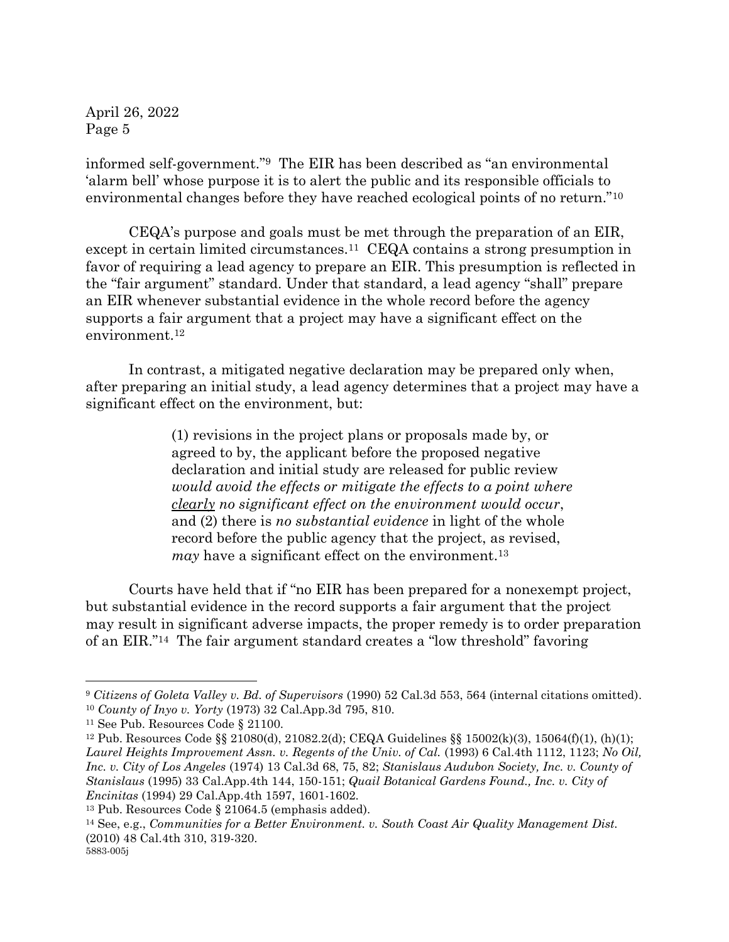informed self-government."<sup>9</sup> The EIR has been described as "an environmental 'alarm bell' whose purpose it is to alert the public and its responsible officials to environmental changes before they have reached ecological points of no return."<sup>10</sup>

CEQA's purpose and goals must be met through the preparation of an EIR, except in certain limited circumstances.11 CEQA contains a strong presumption in favor of requiring a lead agency to prepare an EIR. This presumption is reflected in the "fair argument" standard. Under that standard, a lead agency "shall" prepare an EIR whenever substantial evidence in the whole record before the agency supports a fair argument that a project may have a significant effect on the environment.<sup>12</sup>

In contrast, a mitigated negative declaration may be prepared only when, after preparing an initial study, a lead agency determines that a project may have a significant effect on the environment, but:

> (1) revisions in the project plans or proposals made by, or agreed to by, the applicant before the proposed negative declaration and initial study are released for public review *would avoid the effects or mitigate the effects to a point where clearly no significant effect on the environment would occur*, and (2) there is *no substantial evidence* in light of the whole record before the public agency that the project, as revised, *may* have a significant effect on the environment.<sup>13</sup>

Courts have held that if "no EIR has been prepared for a nonexempt project, but substantial evidence in the record supports a fair argument that the project may result in significant adverse impacts, the proper remedy is to order preparation of an EIR."<sup>14</sup> The fair argument standard creates a "low threshold" favoring

<sup>9</sup> *Citizens of Goleta Valley v. Bd. of Supervisors* (1990) 52 Cal.3d 553, 564 (internal citations omitted). <sup>10</sup> *County of Inyo v. Yorty* (1973) 32 Cal.App.3d 795, 810.

<sup>11</sup> See Pub. Resources Code § 21100.

<sup>12</sup> Pub. Resources Code §§ 21080(d), 21082.2(d); CEQA Guidelines §§ 15002(k)(3), 15064(f)(1), (h)(1); *Laurel Heights Improvement Assn. v. Regents of the Univ. of Cal.* (1993) 6 Cal.4th 1112, 1123; *No Oil, Inc. v. City of Los Angeles* (1974) 13 Cal.3d 68, 75, 82; *Stanislaus Audubon Society, Inc. v. County of Stanislaus* (1995) 33 Cal.App.4th 144, 150-151; *Quail Botanical Gardens Found., Inc. v. City of Encinitas* (1994) 29 Cal.App.4th 1597, 1601-1602.

<sup>13</sup> Pub. Resources Code § 21064.5 (emphasis added).

<sup>14</sup> See, e.g., *Communities for a Better Environment. v. South Coast Air Quality Management Dist.* (2010) 48 Cal.4th 310, 319-320.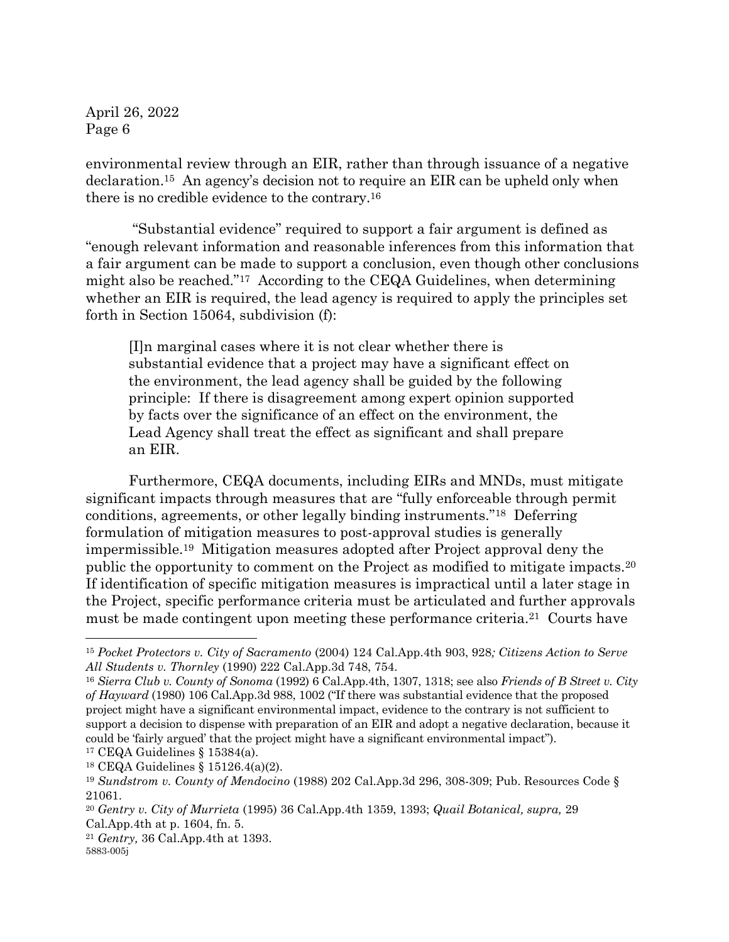environmental review through an EIR, rather than through issuance of a negative declaration.<sup>15</sup> An agency's decision not to require an EIR can be upheld only when there is no credible evidence to the contrary.<sup>16</sup>

"Substantial evidence" required to support a fair argument is defined as "enough relevant information and reasonable inferences from this information that a fair argument can be made to support a conclusion, even though other conclusions might also be reached."17 According to the CEQA Guidelines, when determining whether an EIR is required, the lead agency is required to apply the principles set forth in Section 15064, subdivision (f):

[I]n marginal cases where it is not clear whether there is substantial evidence that a project may have a significant effect on the environment, the lead agency shall be guided by the following principle: If there is disagreement among expert opinion supported by facts over the significance of an effect on the environment, the Lead Agency shall treat the effect as significant and shall prepare an EIR.

Furthermore, CEQA documents, including EIRs and MNDs, must mitigate significant impacts through measures that are "fully enforceable through permit conditions, agreements, or other legally binding instruments."18 Deferring formulation of mitigation measures to post-approval studies is generally impermissible.19 Mitigation measures adopted after Project approval deny the public the opportunity to comment on the Project as modified to mitigate impacts.<sup>20</sup> If identification of specific mitigation measures is impractical until a later stage in the Project, specific performance criteria must be articulated and further approvals must be made contingent upon meeting these performance criteria.21 Courts have

<sup>18</sup> CEQA Guidelines § 15126.4(a)(2).

<sup>15</sup> *Pocket Protectors v. City of Sacramento* (2004) 124 Cal.App.4th 903, 928*; Citizens Action to Serve All Students v. Thornley* (1990) 222 Cal.App.3d 748, 754.

<sup>16</sup> *Sierra Club v. County of Sonoma* (1992) 6 Cal.App.4th, 1307, 1318; see also *Friends of B Street v. City of Hayward* (1980) 106 Cal.App.3d 988, 1002 ("If there was substantial evidence that the proposed project might have a significant environmental impact, evidence to the contrary is not sufficient to support a decision to dispense with preparation of an EIR and adopt a negative declaration, because it could be 'fairly argued' that the project might have a significant environmental impact"). <sup>17</sup> CEQA Guidelines § 15384(a).

<sup>19</sup> *Sundstrom v. County of Mendocino* (1988) 202 Cal.App.3d 296, 308-309; Pub. Resources Code § 21061.

<sup>20</sup> *Gentry v. City of Murrieta* (1995) 36 Cal.App.4th 1359, 1393; *Quail Botanical, supra,* 29 Cal.App.4th at p. 1604, fn. 5.

<sup>5883-005</sup>j <sup>21</sup> *Gentry,* 36 Cal.App.4th at 1393.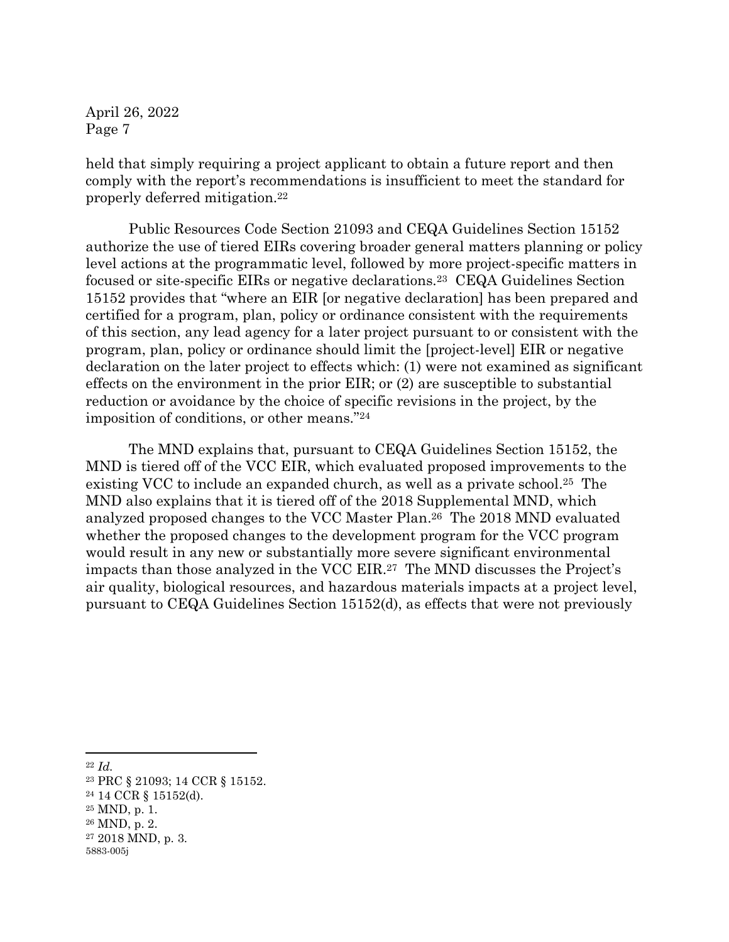held that simply requiring a project applicant to obtain a future report and then comply with the report's recommendations is insufficient to meet the standard for properly deferred mitigation.<sup>22</sup>

Public Resources Code Section 21093 and CEQA Guidelines Section 15152 authorize the use of tiered EIRs covering broader general matters planning or policy level actions at the programmatic level, followed by more project-specific matters in focused or site-specific EIRs or negative declarations.<sup>23</sup> CEQA Guidelines Section 15152 provides that "where an EIR [or negative declaration] has been prepared and certified for a program, plan, policy or ordinance consistent with the requirements of this section, any lead agency for a later project pursuant to or consistent with the program, plan, policy or ordinance should limit the [project-level] EIR or negative declaration on the later project to effects which: (1) were not examined as significant effects on the environment in the prior EIR; or (2) are susceptible to substantial reduction or avoidance by the choice of specific revisions in the project, by the imposition of conditions, or other means."<sup>24</sup>

The MND explains that, pursuant to CEQA Guidelines Section 15152, the MND is tiered off of the VCC EIR, which evaluated proposed improvements to the existing VCC to include an expanded church, as well as a private school. <sup>25</sup> The MND also explains that it is tiered off of the 2018 Supplemental MND, which analyzed proposed changes to the VCC Master Plan. <sup>26</sup> The 2018 MND evaluated whether the proposed changes to the development program for the VCC program would result in any new or substantially more severe significant environmental impacts than those analyzed in the VCC EIR.27 The MND discusses the Project's air quality, biological resources, and hazardous materials impacts at a project level, pursuant to CEQA Guidelines Section 15152(d), as effects that were not previously

- <sup>22</sup> *Id.*
- 5883-005j <sup>23</sup> PRC § 21093; 14 CCR § 15152. <sup>24</sup> 14 CCR § 15152(d).  $25$  MND, p. 1. <sup>26</sup> MND, p. 2. <sup>27</sup> 2018 MND, p. 3.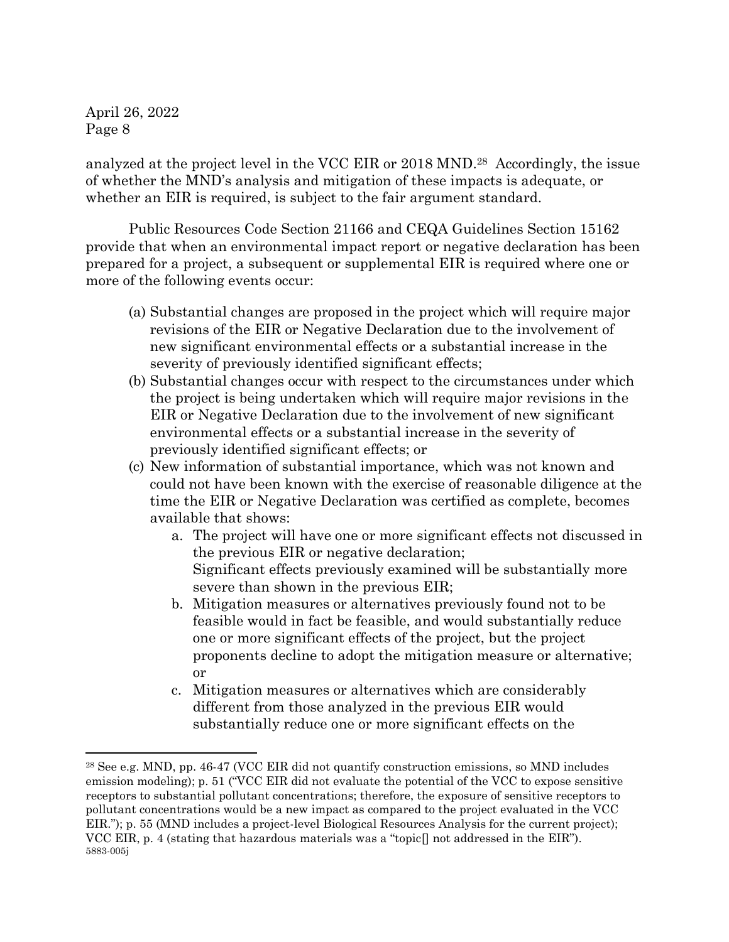analyzed at the project level in the VCC EIR or 2018 MND. <sup>28</sup> Accordingly, the issue of whether the MND's analysis and mitigation of these impacts is adequate, or whether an EIR is required, is subject to the fair argument standard.

Public Resources Code Section 21166 and CEQA Guidelines Section 15162 provide that when an environmental impact report or negative declaration has been prepared for a project, a subsequent or supplemental EIR is required where one or more of the following events occur:

- (a) Substantial changes are proposed in the project which will require major revisions of the EIR or Negative Declaration due to the involvement of new significant environmental effects or a substantial increase in the severity of previously identified significant effects;
- (b) Substantial changes occur with respect to the circumstances under which the project is being undertaken which will require major revisions in the EIR or Negative Declaration due to the involvement of new significant environmental effects or a substantial increase in the severity of previously identified significant effects; or
- (c) New information of substantial importance, which was not known and could not have been known with the exercise of reasonable diligence at the time the EIR or Negative Declaration was certified as complete, becomes available that shows:
	- a. The project will have one or more significant effects not discussed in the previous EIR or negative declaration; Significant effects previously examined will be substantially more severe than shown in the previous EIR;
	- b. Mitigation measures or alternatives previously found not to be feasible would in fact be feasible, and would substantially reduce one or more significant effects of the project, but the project proponents decline to adopt the mitigation measure or alternative; or
	- c. Mitigation measures or alternatives which are considerably different from those analyzed in the previous EIR would substantially reduce one or more significant effects on the

<sup>5883-005</sup>j <sup>28</sup> See e.g. MND, pp. 46-47 (VCC EIR did not quantify construction emissions, so MND includes emission modeling); p. 51 ("VCC EIR did not evaluate the potential of the VCC to expose sensitive receptors to substantial pollutant concentrations; therefore, the exposure of sensitive receptors to pollutant concentrations would be a new impact as compared to the project evaluated in the VCC EIR."); p. 55 (MND includes a project-level Biological Resources Analysis for the current project); VCC EIR, p. 4 (stating that hazardous materials was a "topic[] not addressed in the EIR").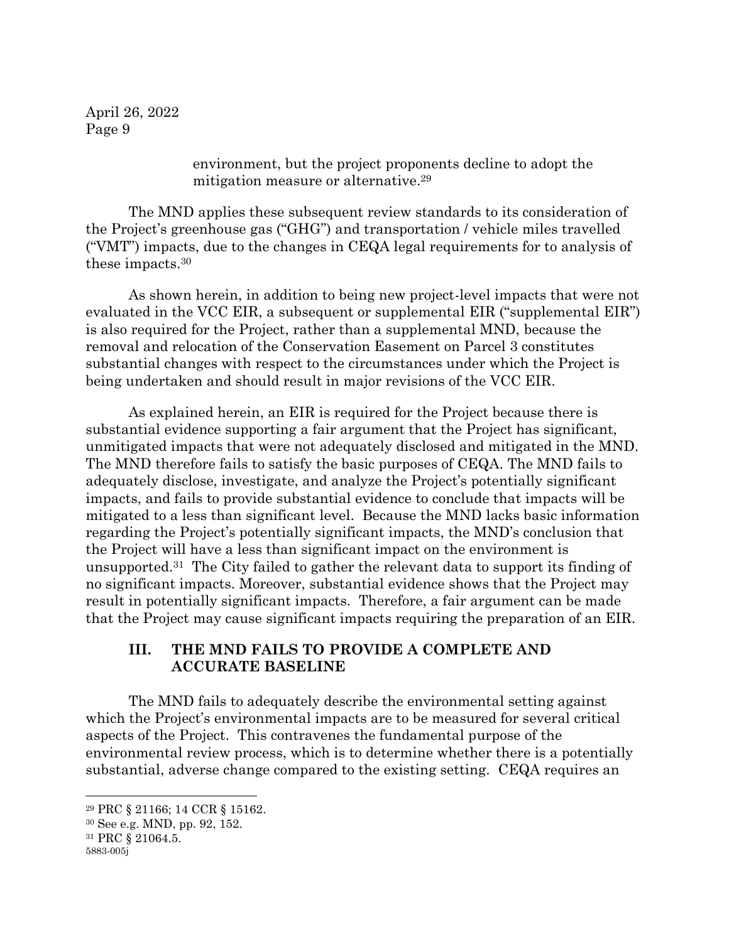> environment, but the project proponents decline to adopt the mitigation measure or alternative.<sup>29</sup>

The MND applies these subsequent review standards to its consideration of the Project's greenhouse gas ("GHG") and transportation / vehicle miles travelled ("VMT") impacts, due to the changes in CEQA legal requirements for to analysis of these impacts. <sup>30</sup>

As shown herein, in addition to being new project-level impacts that were not evaluated in the VCC EIR, a subsequent or supplemental EIR ("supplemental EIR") is also required for the Project, rather than a supplemental MND, because the removal and relocation of the Conservation Easement on Parcel 3 constitutes substantial changes with respect to the circumstances under which the Project is being undertaken and should result in major revisions of the VCC EIR.

As explained herein, an EIR is required for the Project because there is substantial evidence supporting a fair argument that the Project has significant, unmitigated impacts that were not adequately disclosed and mitigated in the MND. The MND therefore fails to satisfy the basic purposes of CEQA. The MND fails to adequately disclose, investigate, and analyze the Project's potentially significant impacts, and fails to provide substantial evidence to conclude that impacts will be mitigated to a less than significant level. Because the MND lacks basic information regarding the Project's potentially significant impacts, the MND's conclusion that the Project will have a less than significant impact on the environment is unsupported.31 The City failed to gather the relevant data to support its finding of no significant impacts. Moreover, substantial evidence shows that the Project may result in potentially significant impacts. Therefore, a fair argument can be made that the Project may cause significant impacts requiring the preparation of an EIR.

#### **III. THE MND FAILS TO PROVIDE A COMPLETE AND ACCURATE BASELINE**

The MND fails to adequately describe the environmental setting against which the Project's environmental impacts are to be measured for several critical aspects of the Project. This contravenes the fundamental purpose of the environmental review process, which is to determine whether there is a potentially substantial, adverse change compared to the existing setting. CEQA requires an

<sup>29</sup> PRC § 21166; 14 CCR § 15162.

<sup>30</sup> See e.g. MND, pp. 92, 152.

<sup>31</sup> PRC § 21064.5.

<sup>5883-005</sup>j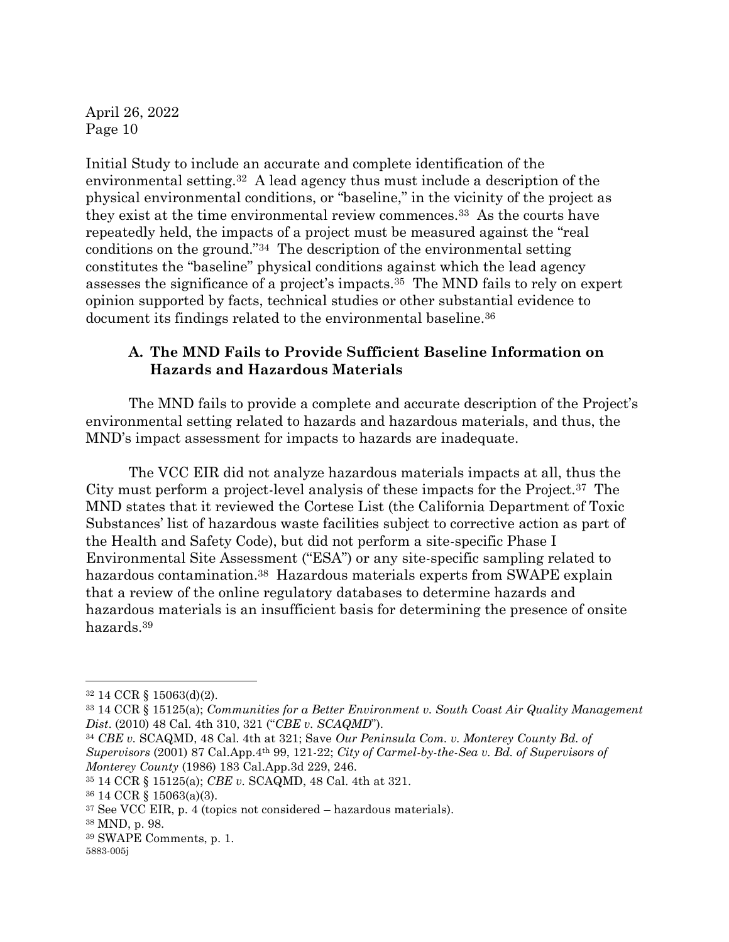Initial Study to include an accurate and complete identification of the environmental setting.32 A lead agency thus must include a description of the physical environmental conditions, or "baseline," in the vicinity of the project as they exist at the time environmental review commences.33 As the courts have repeatedly held, the impacts of a project must be measured against the "real conditions on the ground."34 The description of the environmental setting constitutes the "baseline" physical conditions against which the lead agency assesses the significance of a project's impacts.<sup>35</sup> The MND fails to rely on expert opinion supported by facts, technical studies or other substantial evidence to document its findings related to the environmental baseline.<sup>36</sup>

## **A. The MND Fails to Provide Sufficient Baseline Information on Hazards and Hazardous Materials**

The MND fails to provide a complete and accurate description of the Project's environmental setting related to hazards and hazardous materials, and thus, the MND's impact assessment for impacts to hazards are inadequate.

The VCC EIR did not analyze hazardous materials impacts at all, thus the City must perform a project-level analysis of these impacts for the Project.37 The MND states that it reviewed the Cortese List (the California Department of Toxic Substances' list of hazardous waste facilities subject to corrective action as part of the Health and Safety Code), but did not perform a site-specific Phase I Environmental Site Assessment ("ESA") or any site-specific sampling related to hazardous contamination.<sup>38</sup> Hazardous materials experts from SWAPE explain that a review of the online regulatory databases to determine hazards and hazardous materials is an insufficient basis for determining the presence of onsite hazards.<sup>39</sup>

<sup>32</sup> 14 CCR § 15063(d)(2).

<sup>33</sup> 14 CCR § 15125(a); *Communities for a Better Environment v. South Coast Air Quality Management Dist*. (2010) 48 Cal. 4th 310, 321 ("*CBE v. SCAQMD*").

<sup>34</sup> *CBE v.* SCAQMD, 48 Cal. 4th at 321; Save *Our Peninsula Com. v. Monterey County Bd. of Supervisors* (2001) 87 Cal.App.4th 99, 121-22; *City of Carmel-by-the-Sea v. Bd. of Supervisors of Monterey County* (1986) 183 Cal.App.3d 229, 246.

<sup>35</sup> 14 CCR § 15125(a); *CBE v.* SCAQMD, 48 Cal. 4th at 321.

<sup>36</sup> 14 CCR § 15063(a)(3).

 $37$  See VCC EIR, p. 4 (topics not considered – hazardous materials).

<sup>38</sup> MND, p. 98.

<sup>39</sup> SWAPE Comments, p. 1.

<sup>5883-005</sup>j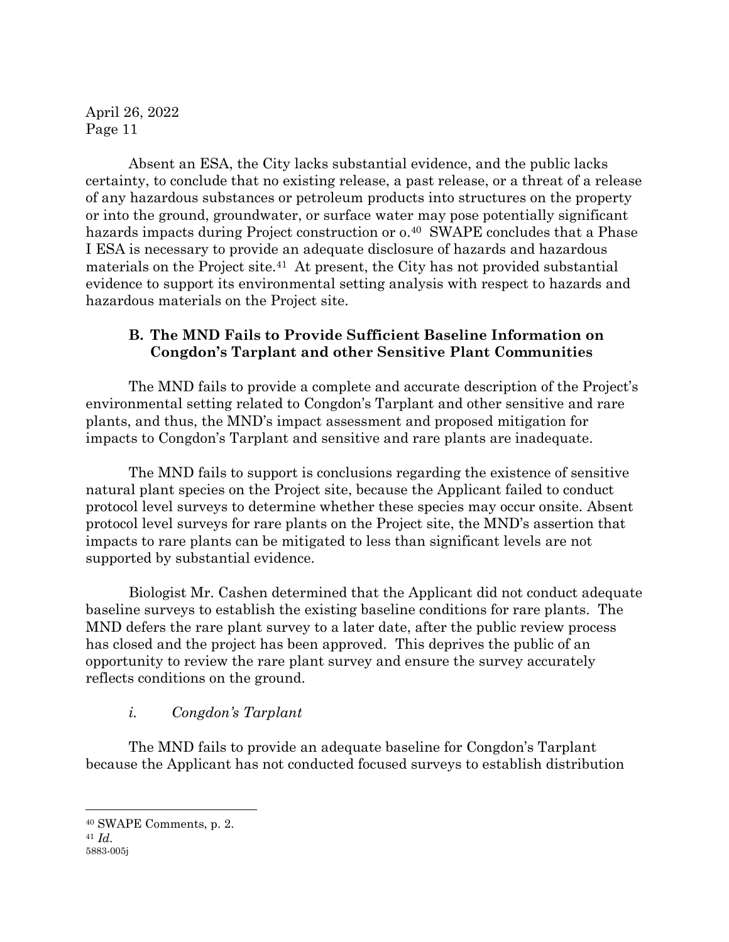Absent an ESA, the City lacks substantial evidence, and the public lacks certainty, to conclude that no existing release, a past release, or a threat of a release of any hazardous substances or petroleum products into structures on the property or into the ground, groundwater, or surface water may pose potentially significant hazards impacts during Project construction or  $0.40$  SWAPE concludes that a Phase I ESA is necessary to provide an adequate disclosure of hazards and hazardous materials on the Project site.<sup>41</sup> At present, the City has not provided substantial evidence to support its environmental setting analysis with respect to hazards and hazardous materials on the Project site.

#### **B. The MND Fails to Provide Sufficient Baseline Information on Congdon's Tarplant and other Sensitive Plant Communities**

The MND fails to provide a complete and accurate description of the Project's environmental setting related to Congdon's Tarplant and other sensitive and rare plants, and thus, the MND's impact assessment and proposed mitigation for impacts to Congdon's Tarplant and sensitive and rare plants are inadequate.

The MND fails to support is conclusions regarding the existence of sensitive natural plant species on the Project site, because the Applicant failed to conduct protocol level surveys to determine whether these species may occur onsite. Absent protocol level surveys for rare plants on the Project site, the MND's assertion that impacts to rare plants can be mitigated to less than significant levels are not supported by substantial evidence.

Biologist Mr. Cashen determined that the Applicant did not conduct adequate baseline surveys to establish the existing baseline conditions for rare plants. The MND defers the rare plant survey to a later date, after the public review process has closed and the project has been approved. This deprives the public of an opportunity to review the rare plant survey and ensure the survey accurately reflects conditions on the ground.

# *i. Congdon's Tarplant*

The MND fails to provide an adequate baseline for Congdon's Tarplant because the Applicant has not conducted focused surveys to establish distribution

<sup>40</sup> SWAPE Comments, p. 2.

<sup>5883-005</sup>j <sup>41</sup> *Id.*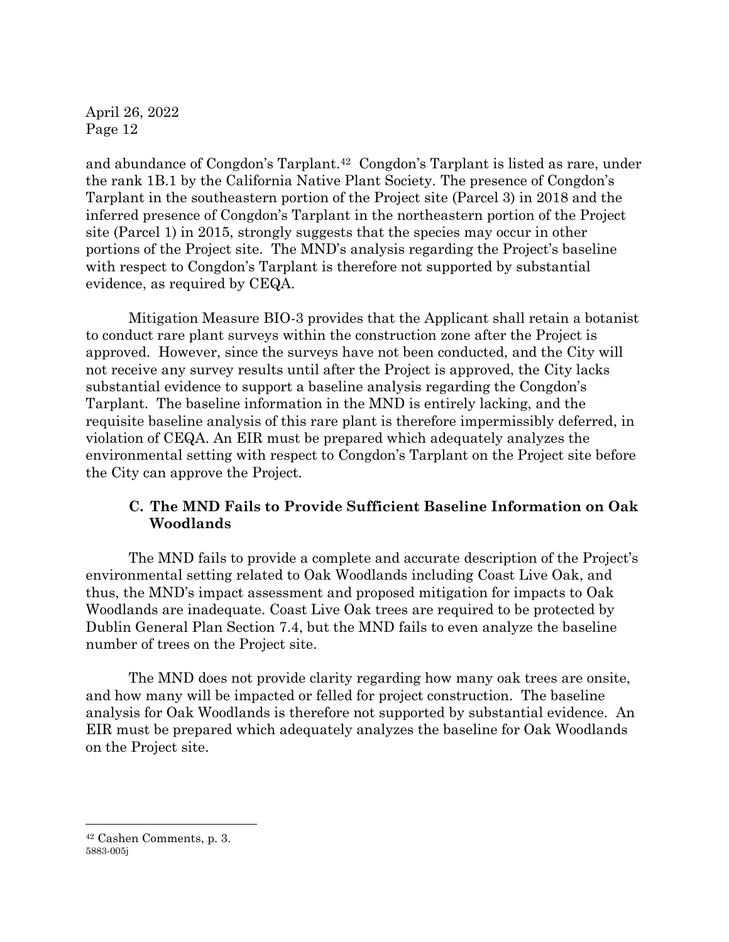and abundance of Congdon's Tarplant. <sup>42</sup> Congdon's Tarplant is listed as rare, under the rank 1B.1 by the California Native Plant Society. The presence of Congdon's Tarplant in the southeastern portion of the Project site (Parcel 3) in 2018 and the inferred presence of Congdon's Tarplant in the northeastern portion of the Project site (Parcel 1) in 2015, strongly suggests that the species may occur in other portions of the Project site. The MND's analysis regarding the Project's baseline with respect to Congdon's Tarplant is therefore not supported by substantial evidence, as required by CEQA.

Mitigation Measure BIO-3 provides that the Applicant shall retain a botanist to conduct rare plant surveys within the construction zone after the Project is approved. However, since the surveys have not been conducted, and the City will not receive any survey results until after the Project is approved, the City lacks substantial evidence to support a baseline analysis regarding the Congdon's Tarplant. The baseline information in the MND is entirely lacking, and the requisite baseline analysis of this rare plant is therefore impermissibly deferred, in violation of CEQA. An EIR must be prepared which adequately analyzes the environmental setting with respect to Congdon's Tarplant on the Project site before the City can approve the Project.

#### **C. The MND Fails to Provide Sufficient Baseline Information on Oak Woodlands**

The MND fails to provide a complete and accurate description of the Project's environmental setting related to Oak Woodlands including Coast Live Oak, and thus, the MND's impact assessment and proposed mitigation for impacts to Oak Woodlands are inadequate. Coast Live Oak trees are required to be protected by Dublin General Plan Section 7.4, but the MND fails to even analyze the baseline number of trees on the Project site.

The MND does not provide clarity regarding how many oak trees are onsite, and how many will be impacted or felled for project construction. The baseline analysis for Oak Woodlands is therefore not supported by substantial evidence. An EIR must be prepared which adequately analyzes the baseline for Oak Woodlands on the Project site.

<sup>5883-005</sup>j <sup>42</sup> Cashen Comments, p. 3.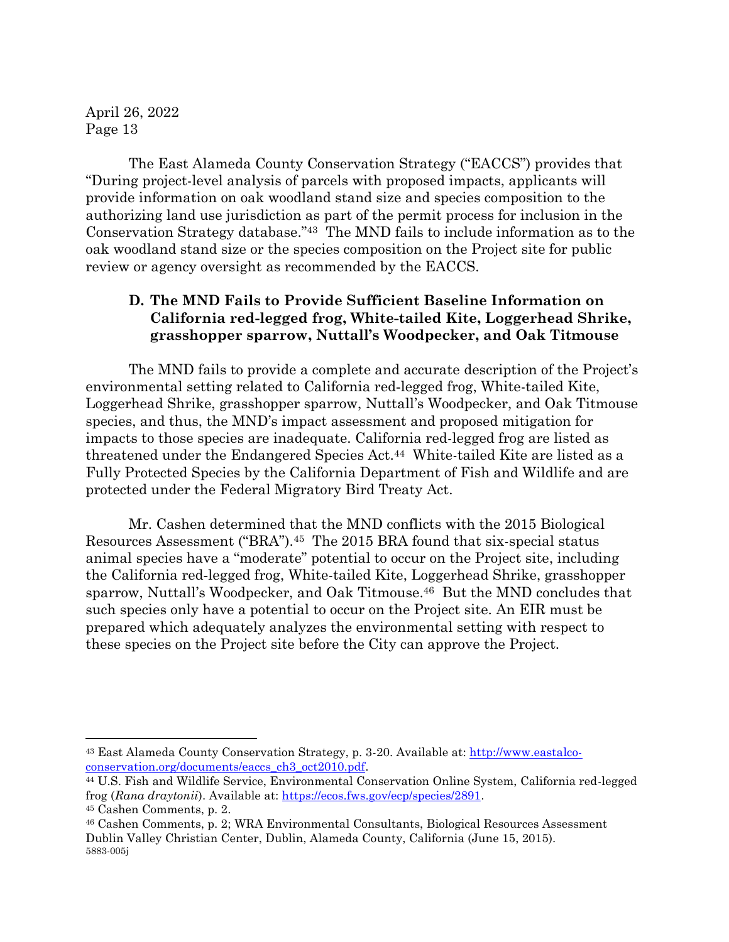The East Alameda County Conservation Strategy ("EACCS") provides that "During project-level analysis of parcels with proposed impacts, applicants will provide information on oak woodland stand size and species composition to the authorizing land use jurisdiction as part of the permit process for inclusion in the Conservation Strategy database."43 The MND fails to include information as to the oak woodland stand size or the species composition on the Project site for public review or agency oversight as recommended by the EACCS.

#### **D. The MND Fails to Provide Sufficient Baseline Information on California red‐legged frog, White-tailed Kite, Loggerhead Shrike, grasshopper sparrow, Nuttall's Woodpecker, and Oak Titmouse**

The MND fails to provide a complete and accurate description of the Project's environmental setting related to California red‐legged frog, White-tailed Kite, Loggerhead Shrike, grasshopper sparrow, Nuttall's Woodpecker, and Oak Titmouse species, and thus, the MND's impact assessment and proposed mitigation for impacts to those species are inadequate. California red-legged frog are listed as threatened under the Endangered Species Act.<sup>44</sup> White-tailed Kite are listed as a Fully Protected Species by the California Department of Fish and Wildlife and are protected under the Federal Migratory Bird Treaty Act.

Mr. Cashen determined that the MND conflicts with the 2015 Biological Resources Assessment ("BRA").45 The 2015 BRA found that six-special status animal species have a "moderate" potential to occur on the Project site, including the California red‐legged frog, White-tailed Kite, Loggerhead Shrike, grasshopper sparrow, Nuttall's Woodpecker, and Oak Titmouse. <sup>46</sup> But the MND concludes that such species only have a potential to occur on the Project site. An EIR must be prepared which adequately analyzes the environmental setting with respect to these species on the Project site before the City can approve the Project.

<sup>&</sup>lt;sup>43</sup> East Alameda County Conservation Strategy, p. 3-20. Available at: http://www.eastalcoconservation.org/documents/eaccs\_ch3\_oct2010.pdf.

<sup>44</sup> U.S. Fish and Wildlife Service, Environmental Conservation Online System, California red-legged frog (*Rana draytonii*). Available at: https://ecos.fws.gov/ecp/species/2891.

<sup>45</sup> Cashen Comments, p. 2.

<sup>5883-005</sup>j <sup>46</sup> Cashen Comments, p. 2; WRA Environmental Consultants, Biological Resources Assessment Dublin Valley Christian Center, Dublin, Alameda County, California (June 15, 2015).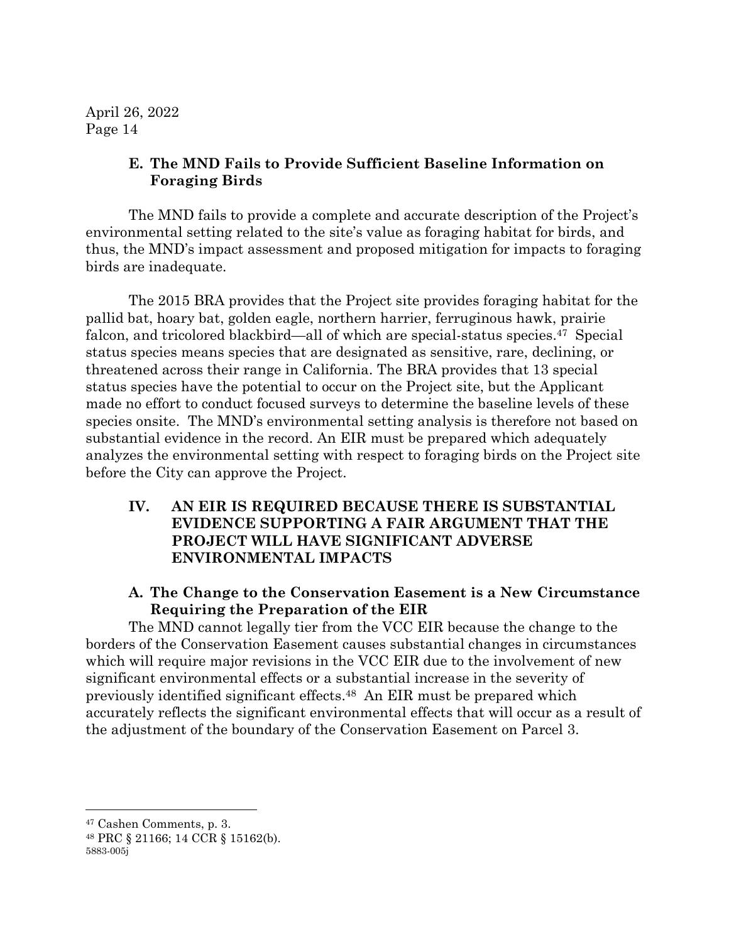#### **E. The MND Fails to Provide Sufficient Baseline Information on Foraging Birds**

The MND fails to provide a complete and accurate description of the Project's environmental setting related to the site's value as foraging habitat for birds, and thus, the MND's impact assessment and proposed mitigation for impacts to foraging birds are inadequate.

The 2015 BRA provides that the Project site provides foraging habitat for the pallid bat, hoary bat, golden eagle, northern harrier, ferruginous hawk, prairie falcon, and tricolored blackbird—all of which are special-status species. <sup>47</sup> Special status species means species that are designated as sensitive, rare, declining, or threatened across their range in California. The BRA provides that 13 special status species have the potential to occur on the Project site, but the Applicant made no effort to conduct focused surveys to determine the baseline levels of these species onsite. The MND's environmental setting analysis is therefore not based on substantial evidence in the record. An EIR must be prepared which adequately analyzes the environmental setting with respect to foraging birds on the Project site before the City can approve the Project.

#### **IV. AN EIR IS REQUIRED BECAUSE THERE IS SUBSTANTIAL EVIDENCE SUPPORTING A FAIR ARGUMENT THAT THE PROJECT WILL HAVE SIGNIFICANT ADVERSE ENVIRONMENTAL IMPACTS**

#### **A. The Change to the Conservation Easement is a New Circumstance Requiring the Preparation of the EIR**

The MND cannot legally tier from the VCC EIR because the change to the borders of the Conservation Easement causes substantial changes in circumstances which will require major revisions in the VCC EIR due to the involvement of new significant environmental effects or a substantial increase in the severity of previously identified significant effects. <sup>48</sup> An EIR must be prepared which accurately reflects the significant environmental effects that will occur as a result of the adjustment of the boundary of the Conservation Easement on Parcel 3.

<sup>47</sup> Cashen Comments, p. 3.

<sup>5883-005</sup>j <sup>48</sup> PRC § 21166; 14 CCR § 15162(b).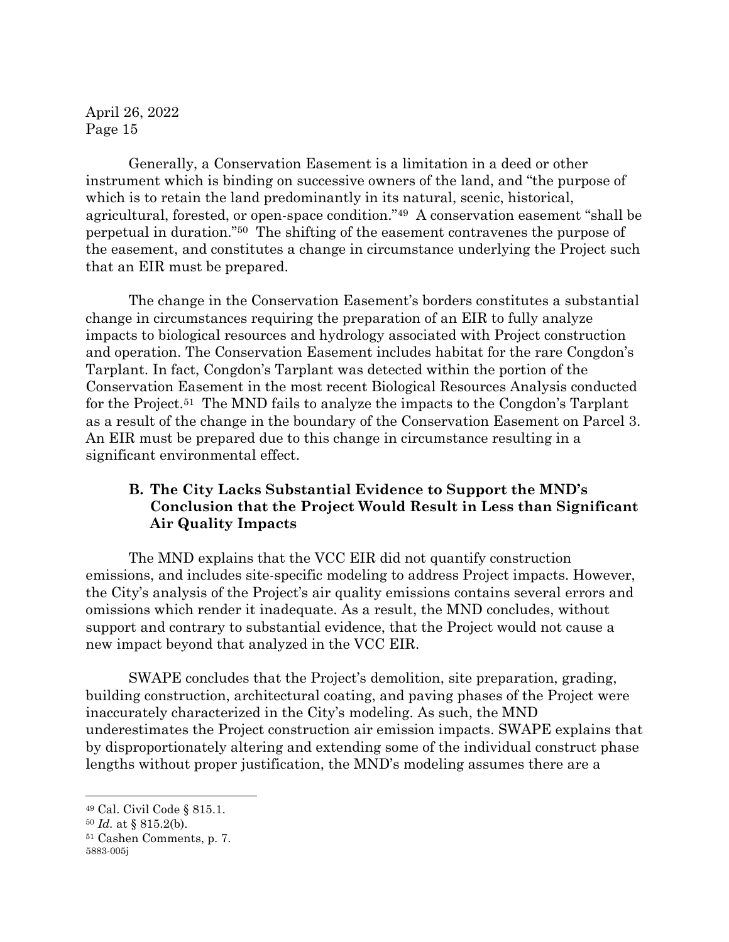Generally, a Conservation Easement is a limitation in a deed or other instrument which is binding on successive owners of the land, and "the purpose of which is to retain the land predominantly in its natural, scenic, historical, agricultural, forested, or open-space condition."<sup>49</sup> A conservation easement "shall be perpetual in duration."50 The shifting of the easement contravenes the purpose of the easement, and constitutes a change in circumstance underlying the Project such that an EIR must be prepared.

The change in the Conservation Easement's borders constitutes a substantial change in circumstances requiring the preparation of an EIR to fully analyze impacts to biological resources and hydrology associated with Project construction and operation. The Conservation Easement includes habitat for the rare Congdon's Tarplant. In fact, Congdon's Tarplant was detected within the portion of the Conservation Easement in the most recent Biological Resources Analysis conducted for the Project.<sup>51</sup> The MND fails to analyze the impacts to the Congdon's Tarplant as a result of the change in the boundary of the Conservation Easement on Parcel 3. An EIR must be prepared due to this change in circumstance resulting in a significant environmental effect.

#### **B. The City Lacks Substantial Evidence to Support the MND's Conclusion that the Project Would Result in Less than Significant Air Quality Impacts**

The MND explains that the VCC EIR did not quantify construction emissions, and includes site-specific modeling to address Project impacts. However, the City's analysis of the Project's air quality emissions contains several errors and omissions which render it inadequate. As a result, the MND concludes, without support and contrary to substantial evidence, that the Project would not cause a new impact beyond that analyzed in the VCC EIR.

SWAPE concludes that the Project's demolition, site preparation, grading, building construction, architectural coating, and paving phases of the Project were inaccurately characterized in the City's modeling. As such, the MND underestimates the Project construction air emission impacts. SWAPE explains that by disproportionately altering and extending some of the individual construct phase lengths without proper justification, the MND's modeling assumes there are a

<sup>49</sup> Cal. Civil Code § 815.1.

<sup>50</sup> *Id.* at § 815.2(b).

<sup>51</sup> Cashen Comments, p. 7.

<sup>5883-005</sup>j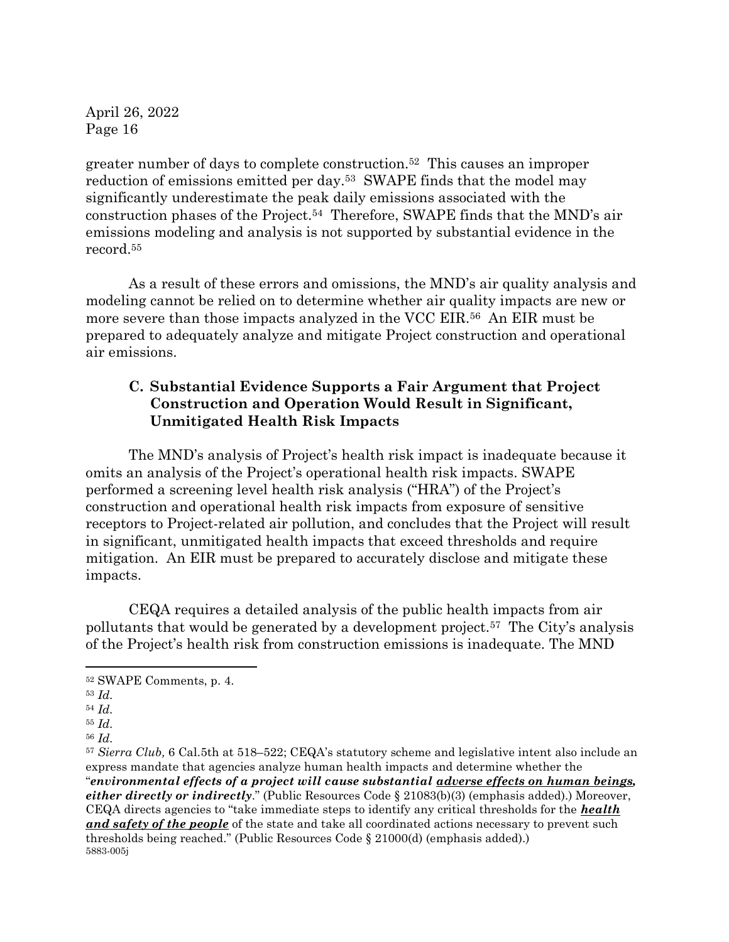greater number of days to complete construction.<sup>52</sup> This causes an improper reduction of emissions emitted per day.53 SWAPE finds that the model may significantly underestimate the peak daily emissions associated with the construction phases of the Project.<sup>54</sup> Therefore, SWAPE finds that the MND's air emissions modeling and analysis is not supported by substantial evidence in the record. 55

As a result of these errors and omissions, the MND's air quality analysis and modeling cannot be relied on to determine whether air quality impacts are new or more severe than those impacts analyzed in the VCC EIR.56 An EIR must be prepared to adequately analyze and mitigate Project construction and operational air emissions.

## **C. Substantial Evidence Supports a Fair Argument that Project Construction and Operation Would Result in Significant, Unmitigated Health Risk Impacts**

The MND's analysis of Project's health risk impact is inadequate because it omits an analysis of the Project's operational health risk impacts. SWAPE performed a screening level health risk analysis ("HRA") of the Project's construction and operational health risk impacts from exposure of sensitive receptors to Project-related air pollution, and concludes that the Project will result in significant, unmitigated health impacts that exceed thresholds and require mitigation. An EIR must be prepared to accurately disclose and mitigate these impacts.

CEQA requires a detailed analysis of the public health impacts from air pollutants that would be generated by a development project.<sup>57</sup> The City's analysis of the Project's health risk from construction emissions is inadequate. The MND

<sup>52</sup> SWAPE Comments, p. 4.

<sup>53</sup> *Id.* 

<sup>54</sup> *Id.* 

<sup>55</sup> *Id.* 

<sup>56</sup> *Id.* 

<sup>5883-005</sup>j <sup>57</sup> *Sierra Club,* 6 Cal.5th at 518–522; CEQA's statutory scheme and legislative intent also include an express mandate that agencies analyze human health impacts and determine whether the "*environmental effects of a project will cause substantial adverse effects on human beings, either directly or indirectly.*" (Public Resources Code § 21083(b)(3) (emphasis added).) Moreover, CEQA directs agencies to "take immediate steps to identify any critical thresholds for the *health and safety of the people* of the state and take all coordinated actions necessary to prevent such thresholds being reached." (Public Resources Code § 21000(d) (emphasis added).)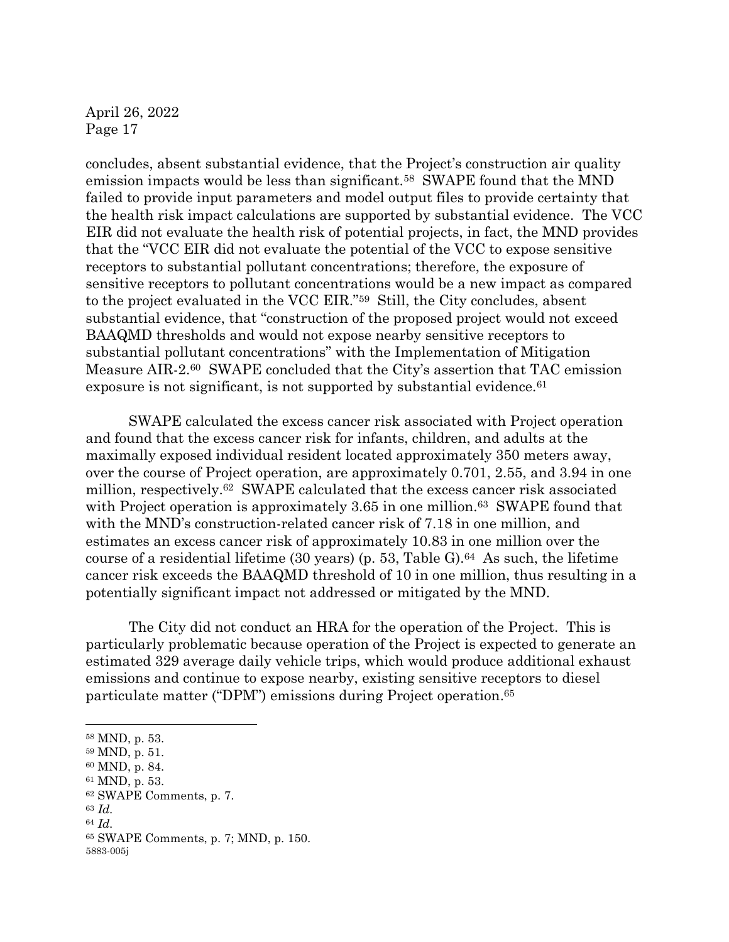concludes, absent substantial evidence, that the Project's construction air quality emission impacts would be less than significant.<sup>58</sup> SWAPE found that the MND failed to provide input parameters and model output files to provide certainty that the health risk impact calculations are supported by substantial evidence. The VCC EIR did not evaluate the health risk of potential projects, in fact, the MND provides that the "VCC EIR did not evaluate the potential of the VCC to expose sensitive receptors to substantial pollutant concentrations; therefore, the exposure of sensitive receptors to pollutant concentrations would be a new impact as compared to the project evaluated in the VCC EIR."59 Still, the City concludes, absent substantial evidence, that "construction of the proposed project would not exceed BAAQMD thresholds and would not expose nearby sensitive receptors to substantial pollutant concentrations" with the Implementation of Mitigation Measure AIR-2. <sup>60</sup> SWAPE concluded that the City's assertion that TAC emission exposure is not significant, is not supported by substantial evidence.<sup>61</sup>

SWAPE calculated the excess cancer risk associated with Project operation and found that the excess cancer risk for infants, children, and adults at the maximally exposed individual resident located approximately 350 meters away, over the course of Project operation, are approximately 0.701, 2.55, and 3.94 in one million, respectively.62 SWAPE calculated that the excess cancer risk associated with Project operation is approximately 3.65 in one million.<sup>63</sup> SWAPE found that with the MND's construction-related cancer risk of 7.18 in one million, and estimates an excess cancer risk of approximately 10.83 in one million over the course of a residential lifetime  $(30 \text{ years})$  (p. 53, Table G).<sup>64</sup> As such, the lifetime cancer risk exceeds the BAAQMD threshold of 10 in one million, thus resulting in a potentially significant impact not addressed or mitigated by the MND.

The City did not conduct an HRA for the operation of the Project. This is particularly problematic because operation of the Project is expected to generate an estimated 329 average daily vehicle trips, which would produce additional exhaust emissions and continue to expose nearby, existing sensitive receptors to diesel particulate matter ("DPM") emissions during Project operation. 65

<sup>63</sup> *Id.* 

<sup>58</sup> MND, p. 53.

<sup>59</sup> MND, p. 51.

<sup>60</sup> MND, p. 84.

<sup>61</sup> MND, p. 53.

<sup>62</sup> SWAPE Comments, p. 7.

<sup>64</sup> *Id.* 

<sup>5883-005</sup>j <sup>65</sup> SWAPE Comments, p. 7; MND, p. 150.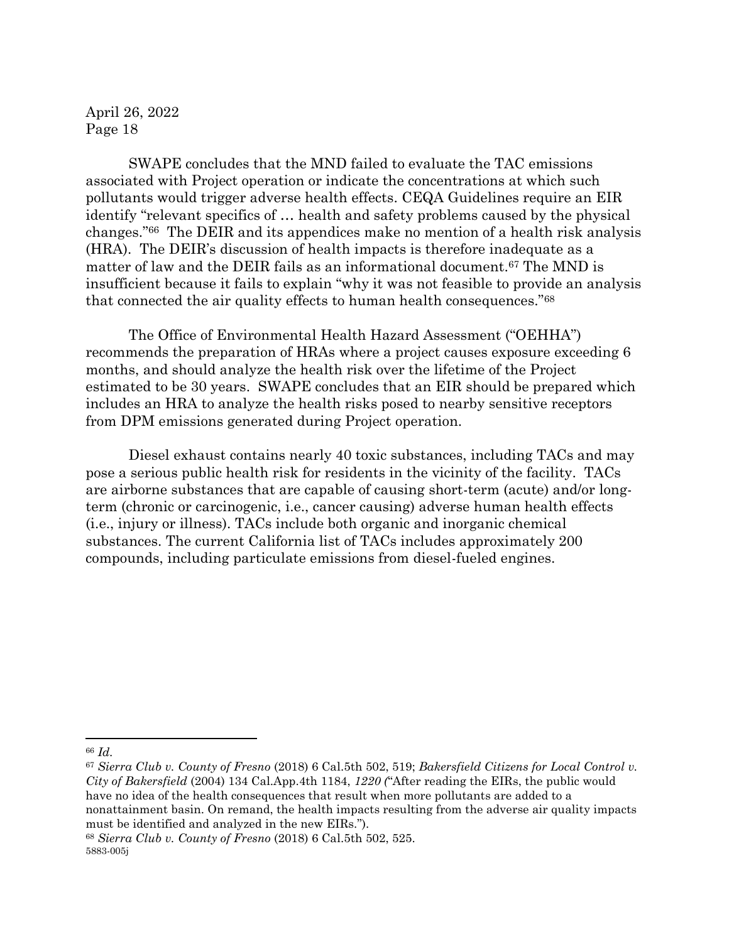SWAPE concludes that the MND failed to evaluate the TAC emissions associated with Project operation or indicate the concentrations at which such pollutants would trigger adverse health effects. CEQA Guidelines require an EIR identify "relevant specifics of … health and safety problems caused by the physical changes."66 The DEIR and its appendices make no mention of a health risk analysis (HRA). The DEIR's discussion of health impacts is therefore inadequate as a matter of law and the DEIR fails as an informational document.<sup>67</sup> The MND is insufficient because it fails to explain "why it was not feasible to provide an analysis that connected the air quality effects to human health consequences."<sup>68</sup>

The Office of Environmental Health Hazard Assessment ("OEHHA") recommends the preparation of HRAs where a project causes exposure exceeding 6 months, and should analyze the health risk over the lifetime of the Project estimated to be 30 years. SWAPE concludes that an EIR should be prepared which includes an HRA to analyze the health risks posed to nearby sensitive receptors from DPM emissions generated during Project operation.

Diesel exhaust contains nearly 40 toxic substances, including TACs and may pose a serious public health risk for residents in the vicinity of the facility. TACs are airborne substances that are capable of causing short-term (acute) and/or longterm (chronic or carcinogenic, i.e., cancer causing) adverse human health effects (i.e., injury or illness). TACs include both organic and inorganic chemical substances. The current California list of TACs includes approximately 200 compounds, including particulate emissions from diesel-fueled engines.

<sup>66</sup> *Id.* 

<sup>67</sup> *Sierra Club v. County of Fresno* (2018) 6 Cal.5th 502, 519; *Bakersfield Citizens for Local Control v. City of Bakersfield* (2004) 134 Cal.App.4th 1184, *1220 (*"After reading the EIRs, the public would have no idea of the health consequences that result when more pollutants are added to a nonattainment basin. On remand, the health impacts resulting from the adverse air quality impacts must be identified and analyzed in the new EIRs.").

<sup>5883-005</sup>j <sup>68</sup> *Sierra Club v. County of Fresno* (2018) 6 Cal.5th 502, 525.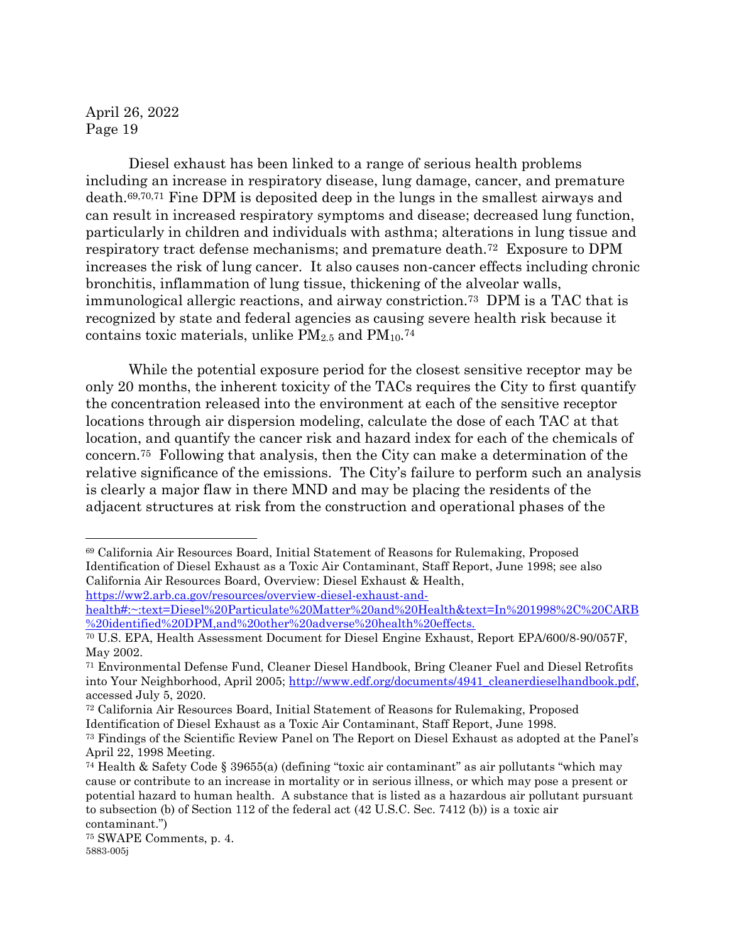Diesel exhaust has been linked to a range of serious health problems including an increase in respiratory disease, lung damage, cancer, and premature death.69,70,71 Fine DPM is deposited deep in the lungs in the smallest airways and can result in increased respiratory symptoms and disease; decreased lung function, particularly in children and individuals with asthma; alterations in lung tissue and respiratory tract defense mechanisms; and premature death.72 Exposure to DPM increases the risk of lung cancer. It also causes non-cancer effects including chronic bronchitis, inflammation of lung tissue, thickening of the alveolar walls, immunological allergic reactions, and airway constriction.73 DPM is a TAC that is recognized by state and federal agencies as causing severe health risk because it contains toxic materials, unlike  $PM_{2.5}$  and  $PM_{10}.$ <sup>74</sup>

While the potential exposure period for the closest sensitive receptor may be only 20 months, the inherent toxicity of the TACs requires the City to first quantify the concentration released into the environment at each of the sensitive receptor locations through air dispersion modeling, calculate the dose of each TAC at that location, and quantify the cancer risk and hazard index for each of the chemicals of concern.75 Following that analysis, then the City can make a determination of the relative significance of the emissions. The City's failure to perform such an analysis is clearly a major flaw in there MND and may be placing the residents of the adjacent structures at risk from the construction and operational phases of the

<sup>69</sup> California Air Resources Board, Initial Statement of Reasons for Rulemaking, Proposed Identification of Diesel Exhaust as a Toxic Air Contaminant, Staff Report, June 1998; see also California Air Resources Board, Overview: Diesel Exhaust & Health, https://ww2.arb.ca.gov/resources/overview-diesel-exhaust-and-

health#:~:text=Diesel%20Particulate%20Matter%20and%20Health&text=In%201998%2C%20CARB %20identified%20DPM,and%20other%20adverse%20health%20effects.

<sup>70</sup> U.S. EPA, Health Assessment Document for Diesel Engine Exhaust, Report EPA/600/8-90/057F, May 2002.

<sup>71</sup> Environmental Defense Fund, Cleaner Diesel Handbook, Bring Cleaner Fuel and Diesel Retrofits into Your Neighborhood, April 2005; http://www.edf.org/documents/4941\_cleanerdieselhandbook.pdf, accessed July 5, 2020.

<sup>72</sup> California Air Resources Board, Initial Statement of Reasons for Rulemaking, Proposed Identification of Diesel Exhaust as a Toxic Air Contaminant, Staff Report, June 1998.

<sup>73</sup> Findings of the Scientific Review Panel on The Report on Diesel Exhaust as adopted at the Panel's April 22, 1998 Meeting.

<sup>74</sup> Health & Safety Code § 39655(a) (defining "toxic air contaminant" as air pollutants "which may cause or contribute to an increase in mortality or in serious illness, or which may pose a present or potential hazard to human health. A substance that is listed as a hazardous air pollutant pursuant to subsection (b) of Section 112 of the federal act (42 U.S.C. Sec. 7412 (b)) is a toxic air contaminant.")

<sup>5883-005</sup>j <sup>75</sup> SWAPE Comments, p. 4.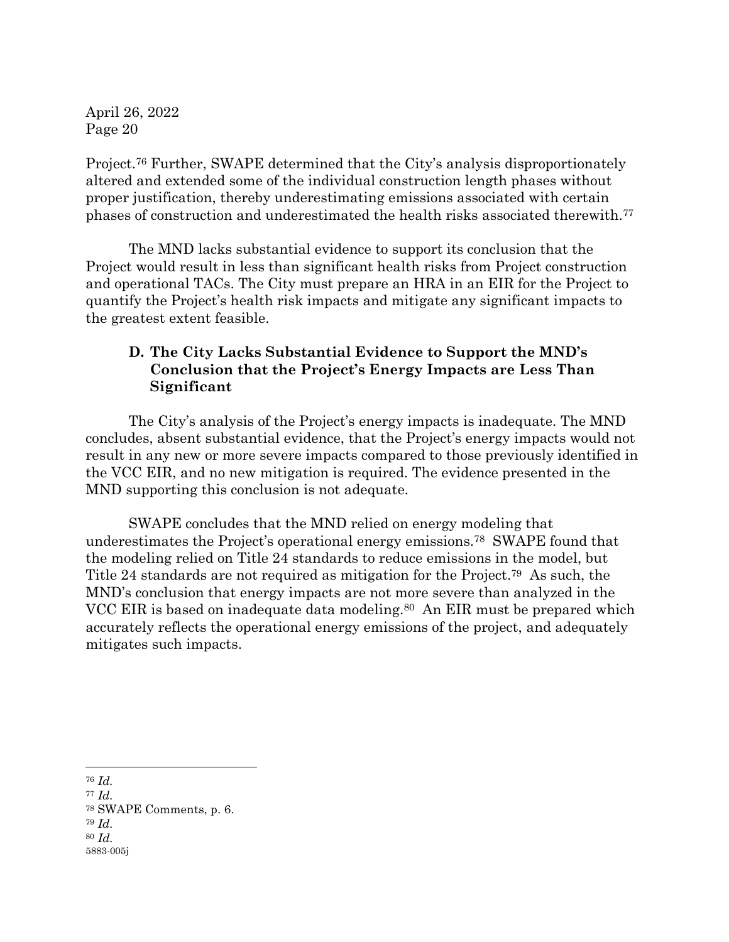Project.<sup>76</sup> Further, SWAPE determined that the City's analysis disproportionately altered and extended some of the individual construction length phases without proper justification, thereby underestimating emissions associated with certain phases of construction and underestimated the health risks associated therewith.<sup>77</sup>

The MND lacks substantial evidence to support its conclusion that the Project would result in less than significant health risks from Project construction and operational TACs. The City must prepare an HRA in an EIR for the Project to quantify the Project's health risk impacts and mitigate any significant impacts to the greatest extent feasible.

## **D. The City Lacks Substantial Evidence to Support the MND's Conclusion that the Project's Energy Impacts are Less Than Significant**

The City's analysis of the Project's energy impacts is inadequate. The MND concludes, absent substantial evidence, that the Project's energy impacts would not result in any new or more severe impacts compared to those previously identified in the VCC EIR, and no new mitigation is required. The evidence presented in the MND supporting this conclusion is not adequate.

SWAPE concludes that the MND relied on energy modeling that underestimates the Project's operational energy emissions.<sup>78</sup> SWAPE found that the modeling relied on Title 24 standards to reduce emissions in the model, but Title 24 standards are not required as mitigation for the Project.<sup>79</sup> As such, the MND's conclusion that energy impacts are not more severe than analyzed in the VCC EIR is based on inadequate data modeling.<sup>80</sup> An EIR must be prepared which accurately reflects the operational energy emissions of the project, and adequately mitigates such impacts.

<sup>76</sup> *Id.*

5883-005j <sup>77</sup> *Id.*  <sup>78</sup> SWAPE Comments, p. 6. <sup>79</sup> *Id.*  <sup>80</sup> *Id.*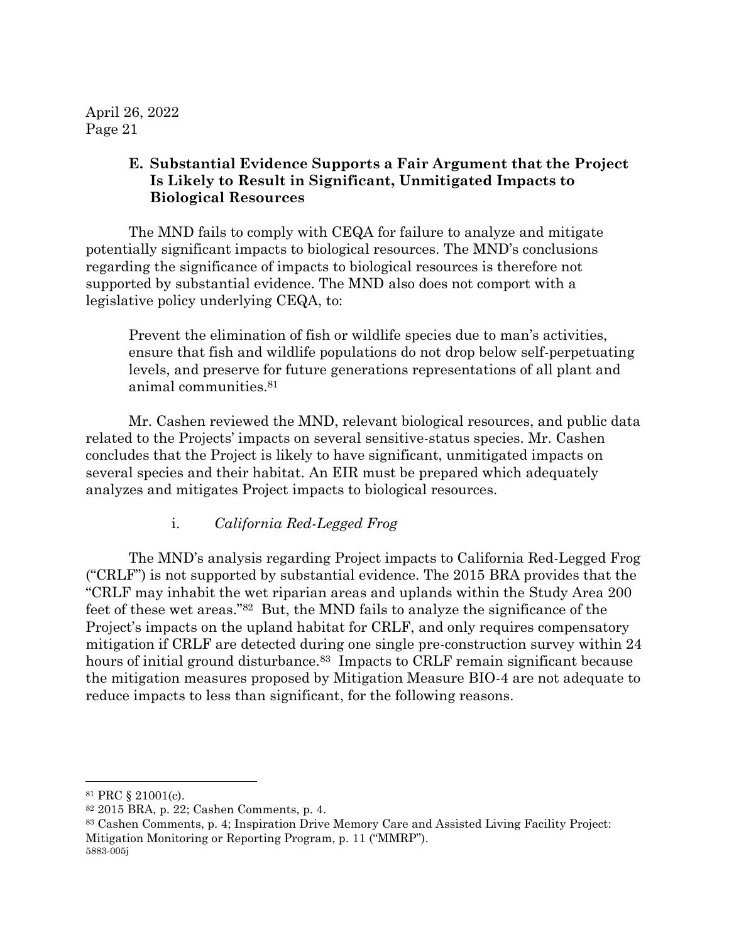#### **E. Substantial Evidence Supports a Fair Argument that the Project Is Likely to Result in Significant, Unmitigated Impacts to Biological Resources**

The MND fails to comply with CEQA for failure to analyze and mitigate potentially significant impacts to biological resources. The MND's conclusions regarding the significance of impacts to biological resources is therefore not supported by substantial evidence. The MND also does not comport with a legislative policy underlying CEQA, to:

Prevent the elimination of fish or wildlife species due to man's activities, ensure that fish and wildlife populations do not drop below self-perpetuating levels, and preserve for future generations representations of all plant and animal communities. 81

Mr. Cashen reviewed the MND, relevant biological resources, and public data related to the Projects' impacts on several sensitive-status species. Mr. Cashen concludes that the Project is likely to have significant, unmitigated impacts on several species and their habitat. An EIR must be prepared which adequately analyzes and mitigates Project impacts to biological resources.

## i. *California Red-Legged Frog*

The MND's analysis regarding Project impacts to California Red-Legged Frog ("CRLF") is not supported by substantial evidence. The 2015 BRA provides that the "CRLF may inhabit the wet riparian areas and uplands within the Study Area 200 feet of these wet areas."82 But, the MND fails to analyze the significance of the Project's impacts on the upland habitat for CRLF, and only requires compensatory mitigation if CRLF are detected during one single pre-construction survey within 24 hours of initial ground disturbance.<sup>83</sup> Impacts to CRLF remain significant because the mitigation measures proposed by Mitigation Measure BIO-4 are not adequate to reduce impacts to less than significant, for the following reasons.

<sup>81</sup> PRC § 21001(c).

<sup>82</sup> 2015 BRA, p. 22; Cashen Comments, p. 4.

<sup>5883-005</sup>j <sup>83</sup> Cashen Comments, p. 4; Inspiration Drive Memory Care and Assisted Living Facility Project: Mitigation Monitoring or Reporting Program, p. 11 ("MMRP").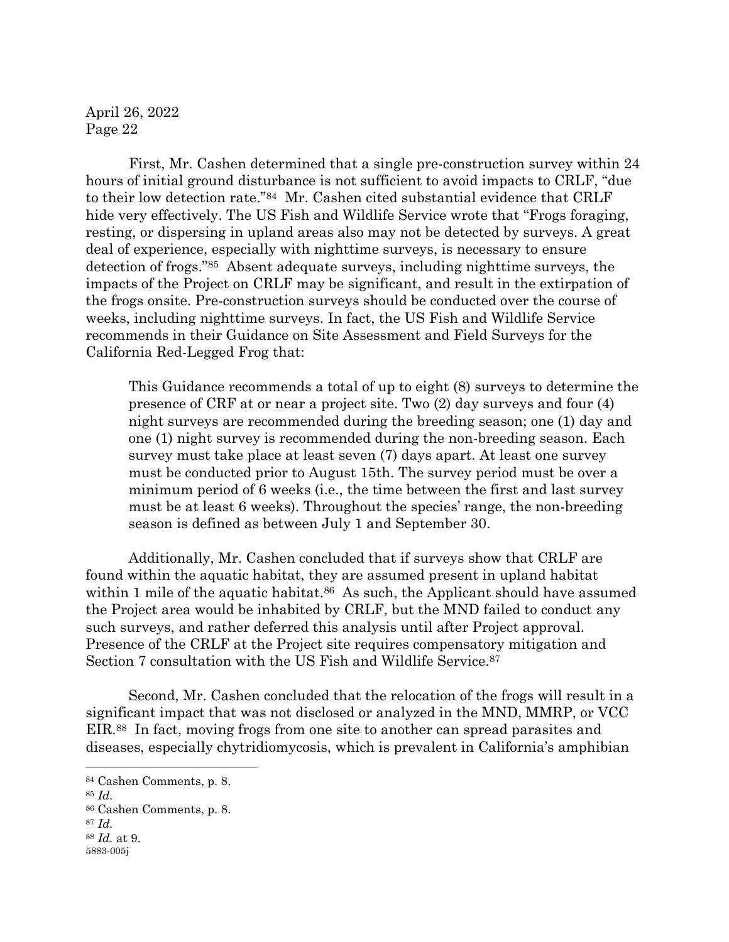First, Mr. Cashen determined that a single pre-construction survey within 24 hours of initial ground disturbance is not sufficient to avoid impacts to CRLF, "due to their low detection rate."84 Mr. Cashen cited substantial evidence that CRLF hide very effectively. The US Fish and Wildlife Service wrote that "Frogs foraging, resting, or dispersing in upland areas also may not be detected by surveys. A great deal of experience, especially with nighttime surveys, is necessary to ensure detection of frogs."85 Absent adequate surveys, including nighttime surveys, the impacts of the Project on CRLF may be significant, and result in the extirpation of the frogs onsite. Pre-construction surveys should be conducted over the course of weeks, including nighttime surveys. In fact, the US Fish and Wildlife Service recommends in their Guidance on Site Assessment and Field Surveys for the California Red-Legged Frog that:

This Guidance recommends a total of up to eight (8) surveys to determine the presence of CRF at or near a project site. Two (2) day surveys and four (4) night surveys are recommended during the breeding season; one (1) day and one (1) night survey is recommended during the non-breeding season. Each survey must take place at least seven (7) days apart. At least one survey must be conducted prior to August 15th. The survey period must be over a minimum period of 6 weeks (i.e., the time between the first and last survey must be at least 6 weeks). Throughout the species' range, the non-breeding season is defined as between July 1 and September 30.

Additionally, Mr. Cashen concluded that if surveys show that CRLF are found within the aquatic habitat, they are assumed present in upland habitat within 1 mile of the aquatic habitat.<sup>86</sup> As such, the Applicant should have assumed the Project area would be inhabited by CRLF, but the MND failed to conduct any such surveys, and rather deferred this analysis until after Project approval. Presence of the CRLF at the Project site requires compensatory mitigation and Section 7 consultation with the US Fish and Wildlife Service.<sup>87</sup>

Second, Mr. Cashen concluded that the relocation of the frogs will result in a significant impact that was not disclosed or analyzed in the MND, MMRP, or VCC EIR.88 In fact, moving frogs from one site to another can spread parasites and diseases, especially chytridiomycosis, which is prevalent in California's amphibian

<sup>88</sup> *Id.* at 9.

<sup>84</sup> Cashen Comments, p. 8.

<sup>85</sup> *Id.* 

<sup>86</sup> Cashen Comments, p. 8.

<sup>87</sup> *Id.*

<sup>5883-005</sup>j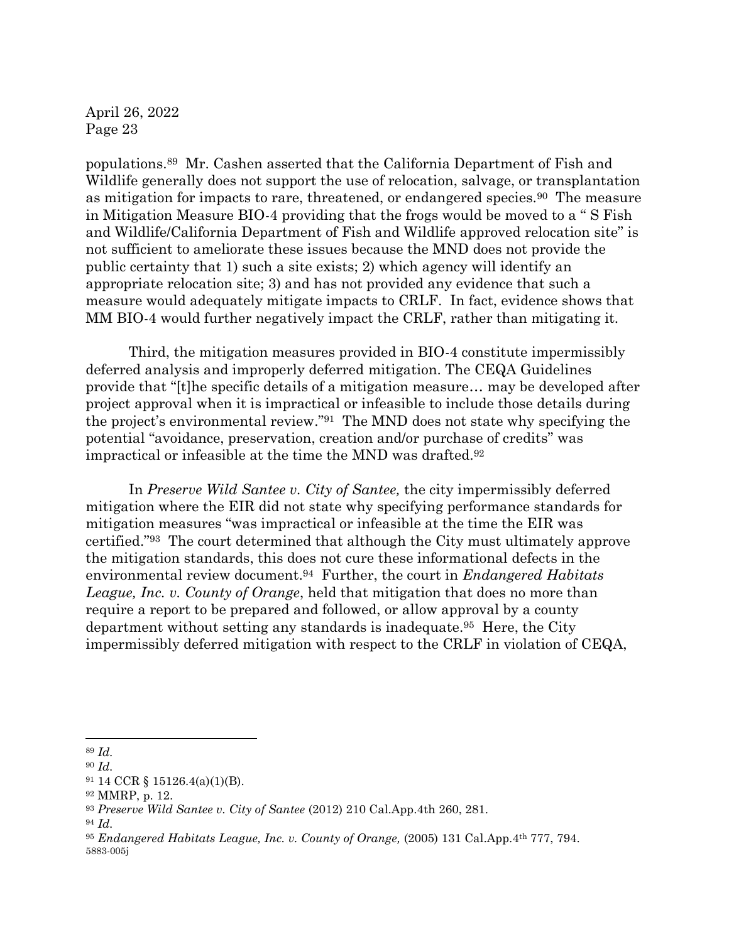populations. <sup>89</sup> Mr. Cashen asserted that the California Department of Fish and Wildlife generally does not support the use of relocation, salvage, or transplantation as mitigation for impacts to rare, threatened, or endangered species.90 The measure in Mitigation Measure BIO-4 providing that the frogs would be moved to a " S Fish and Wildlife/California Department of Fish and Wildlife approved relocation site" is not sufficient to ameliorate these issues because the MND does not provide the public certainty that 1) such a site exists; 2) which agency will identify an appropriate relocation site; 3) and has not provided any evidence that such a measure would adequately mitigate impacts to CRLF. In fact, evidence shows that MM BIO-4 would further negatively impact the CRLF, rather than mitigating it.

Third, the mitigation measures provided in BIO-4 constitute impermissibly deferred analysis and improperly deferred mitigation. The CEQA Guidelines provide that "[t]he specific details of a mitigation measure… may be developed after project approval when it is impractical or infeasible to include those details during the project's environmental review." <sup>91</sup> The MND does not state why specifying the potential "avoidance, preservation, creation and/or purchase of credits" was impractical or infeasible at the time the MND was drafted.<sup>92</sup>

In *Preserve Wild Santee v. City of Santee,* the city impermissibly deferred mitigation where the EIR did not state why specifying performance standards for mitigation measures "was impractical or infeasible at the time the EIR was certified."93 The court determined that although the City must ultimately approve the mitigation standards, this does not cure these informational defects in the environmental review document. <sup>94</sup> Further, the court in *Endangered Habitats League, Inc. v. County of Orange*, held that mitigation that does no more than require a report to be prepared and followed, or allow approval by a county department without setting any standards is inadequate.95 Here, the City impermissibly deferred mitigation with respect to the CRLF in violation of CEQA,

<sup>89</sup> *Id.* 

<sup>90</sup> *Id.* 

<sup>91</sup> 14 CCR § 15126.4(a)(1)(B).

<sup>92</sup> MMRP, p. 12.

<sup>93</sup> *Preserve Wild Santee v. City of Santee* (2012) 210 Cal.App.4th 260, 281.

<sup>94</sup> *Id.* 

<sup>5883-005</sup>j <sup>95</sup> *Endangered Habitats League, Inc. v. County of Orange,* (2005) 131 Cal.App.4th 777, 794.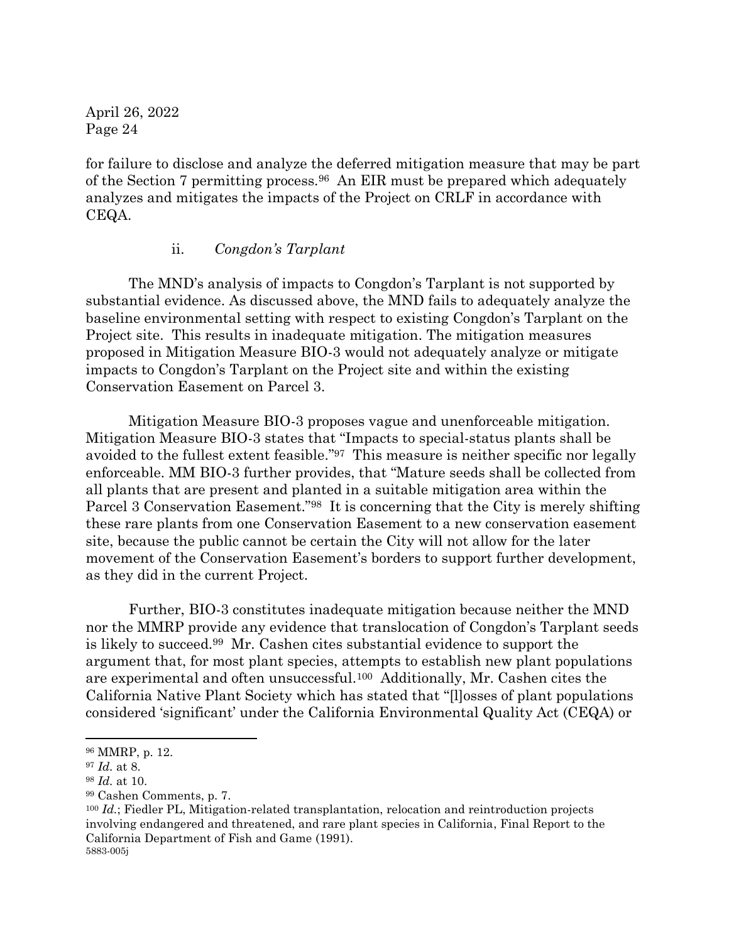for failure to disclose and analyze the deferred mitigation measure that may be part of the Section 7 permitting process.96 An EIR must be prepared which adequately analyzes and mitigates the impacts of the Project on CRLF in accordance with CEQA.

#### ii. *Congdon's Tarplant*

The MND's analysis of impacts to Congdon's Tarplant is not supported by substantial evidence. As discussed above, the MND fails to adequately analyze the baseline environmental setting with respect to existing Congdon's Tarplant on the Project site. This results in inadequate mitigation. The mitigation measures proposed in Mitigation Measure BIO-3 would not adequately analyze or mitigate impacts to Congdon's Tarplant on the Project site and within the existing Conservation Easement on Parcel 3.

Mitigation Measure BIO-3 proposes vague and unenforceable mitigation. Mitigation Measure BIO-3 states that "Impacts to special-status plants shall be avoided to the fullest extent feasible." <sup>97</sup> This measure is neither specific nor legally enforceable. MM BIO-3 further provides, that "Mature seeds shall be collected from all plants that are present and planted in a suitable mitigation area within the Parcel 3 Conservation Easement."98 It is concerning that the City is merely shifting these rare plants from one Conservation Easement to a new conservation easement site, because the public cannot be certain the City will not allow for the later movement of the Conservation Easement's borders to support further development, as they did in the current Project.

Further, BIO-3 constitutes inadequate mitigation because neither the MND nor the MMRP provide any evidence that translocation of Congdon's Tarplant seeds is likely to succeed.99 Mr. Cashen cites substantial evidence to support the argument that, for most plant species, attempts to establish new plant populations are experimental and often unsuccessful.100 Additionally, Mr. Cashen cites the California Native Plant Society which has stated that "[l]osses of plant populations considered 'significant' under the California Environmental Quality Act (CEQA) or

<sup>96</sup> MMRP, p. 12.

<sup>97</sup> *Id.* at 8.

<sup>98</sup> *Id.* at 10.

<sup>99</sup> Cashen Comments, p. 7.

<sup>5883-005</sup>j <sup>100</sup> *Id.*; Fiedler PL, Mitigation-related transplantation, relocation and reintroduction projects involving endangered and threatened, and rare plant species in California, Final Report to the California Department of Fish and Game (1991).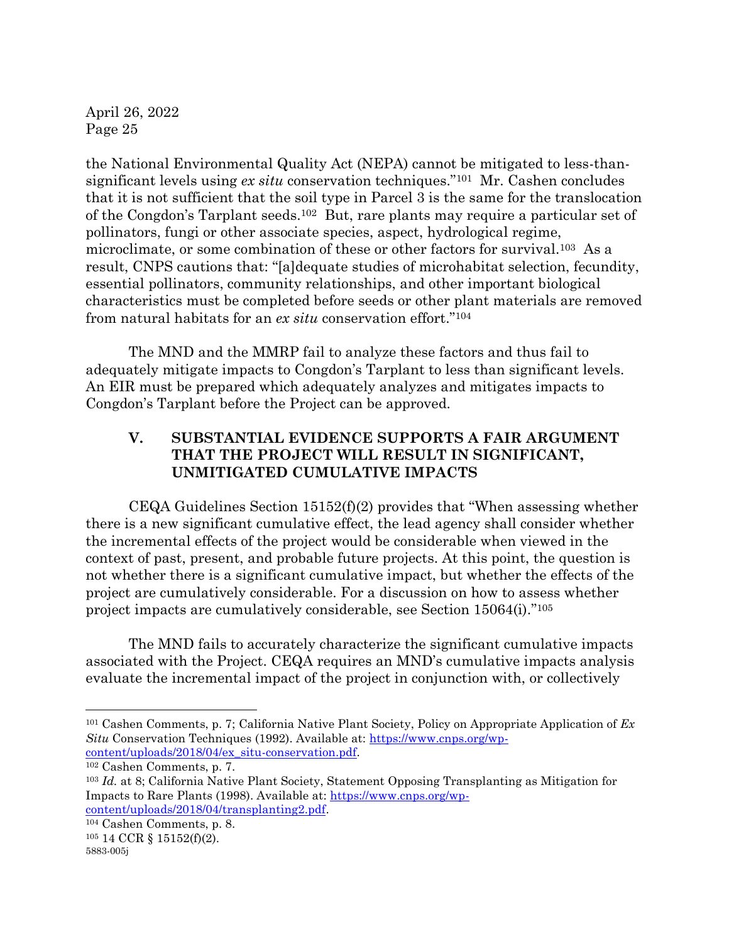the National Environmental Quality Act (NEPA) cannot be mitigated to less-thansignificant levels using *ex situ* conservation techniques."101 Mr. Cashen concludes that it is not sufficient that the soil type in Parcel 3 is the same for the translocation of the Congdon's Tarplant seeds.102 But, rare plants may require a particular set of pollinators, fungi or other associate species, aspect, hydrological regime, microclimate, or some combination of these or other factors for survival.103 As a result, CNPS cautions that: "[a]dequate studies of microhabitat selection, fecundity, essential pollinators, community relationships, and other important biological characteristics must be completed before seeds or other plant materials are removed from natural habitats for an *ex situ* conservation effort."<sup>104</sup>

The MND and the MMRP fail to analyze these factors and thus fail to adequately mitigate impacts to Congdon's Tarplant to less than significant levels. An EIR must be prepared which adequately analyzes and mitigates impacts to Congdon's Tarplant before the Project can be approved.

# **V. SUBSTANTIAL EVIDENCE SUPPORTS A FAIR ARGUMENT THAT THE PROJECT WILL RESULT IN SIGNIFICANT, UNMITIGATED CUMULATIVE IMPACTS**

CEQA Guidelines Section 15152(f)(2) provides that "When assessing whether there is a new significant cumulative effect, the lead agency shall consider whether the incremental effects of the project would be considerable when viewed in the context of past, present, and probable future projects. At this point, the question is not whether there is a significant cumulative impact, but whether the effects of the project are cumulatively considerable. For a discussion on how to assess whether project impacts are cumulatively considerable, see Section 15064(i)." 105

The MND fails to accurately characterize the significant cumulative impacts associated with the Project. CEQA requires an MND's cumulative impacts analysis evaluate the incremental impact of the project in conjunction with, or collectively

<sup>101</sup> Cashen Comments, p. 7; California Native Plant Society, Policy on Appropriate Application of *Ex Situ* Conservation Techniques (1992). Available at: https://www.cnps.org/wpcontent/uploads/2018/04/ex\_situ-conservation.pdf.

<sup>102</sup> Cashen Comments, p. 7.

<sup>103</sup> *Id.* at 8; California Native Plant Society, Statement Opposing Transplanting as Mitigation for Impacts to Rare Plants (1998). Available at: https://www.cnps.org/wpcontent/uploads/2018/04/transplanting2.pdf.

<sup>104</sup> Cashen Comments, p. 8.

<sup>105</sup> 14 CCR § 15152(f)(2).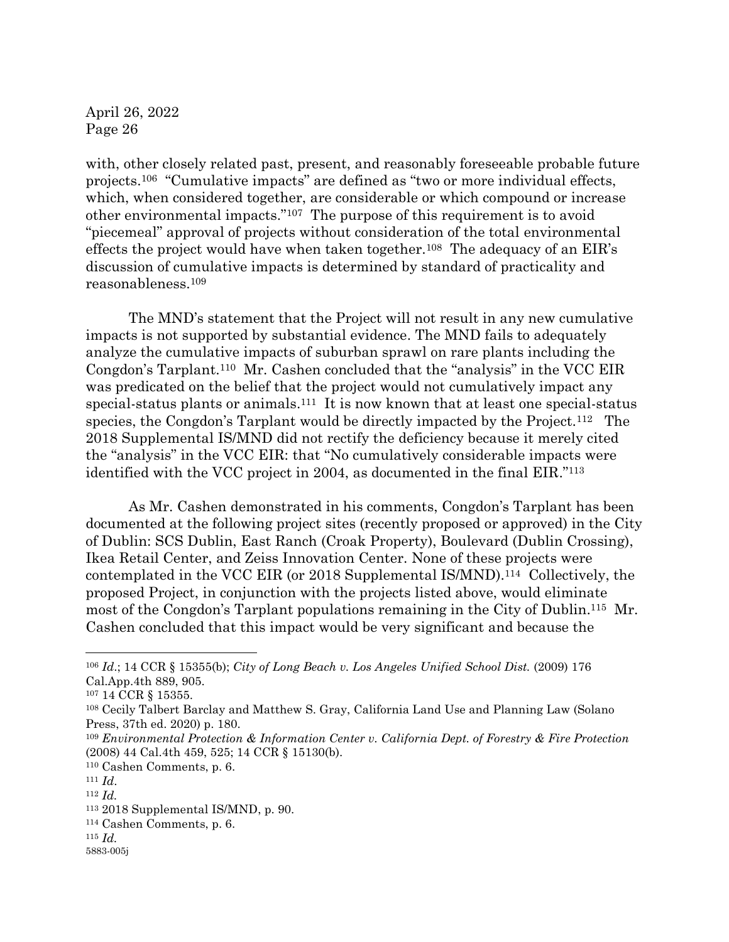with, other closely related past, present, and reasonably foreseeable probable future projects.<sup>106</sup> "Cumulative impacts" are defined as "two or more individual effects, which, when considered together, are considerable or which compound or increase other environmental impacts."<sup>107</sup> The purpose of this requirement is to avoid "piecemeal" approval of projects without consideration of the total environmental effects the project would have when taken together.<sup>108</sup> The adequacy of an EIR's discussion of cumulative impacts is determined by standard of practicality and reasonableness.<sup>109</sup>

The MND's statement that the Project will not result in any new cumulative impacts is not supported by substantial evidence. The MND fails to adequately analyze the cumulative impacts of suburban sprawl on rare plants including the Congdon's Tarplant.110 Mr. Cashen concluded that the "analysis" in the VCC EIR was predicated on the belief that the project would not cumulatively impact any special-status plants or animals.111 It is now known that at least one special-status species, the Congdon's Tarplant would be directly impacted by the Project.112 The 2018 Supplemental IS/MND did not rectify the deficiency because it merely cited the "analysis" in the VCC EIR: that "No cumulatively considerable impacts were identified with the VCC project in 2004, as documented in the final EIR."<sup>113</sup>

As Mr. Cashen demonstrated in his comments, Congdon's Tarplant has been documented at the following project sites (recently proposed or approved) in the City of Dublin: SCS Dublin, East Ranch (Croak Property), Boulevard (Dublin Crossing), Ikea Retail Center, and Zeiss Innovation Center. None of these projects were contemplated in the VCC EIR (or 2018 Supplemental IS/MND).114 Collectively, the proposed Project, in conjunction with the projects listed above, would eliminate most of the Congdon's Tarplant populations remaining in the City of Dublin.115 Mr. Cashen concluded that this impact would be very significant and because the

<sup>115</sup> *Id.*

<sup>&</sup>lt;sup>106</sup> *Id.*; 14 CCR § 15355(b); *City of Long Beach v. Los Angeles Unified School Dist.* (2009) 176 Cal.App.4th 889, 905.

<sup>107</sup> 14 CCR § 15355.

<sup>108</sup> Cecily Talbert Barclay and Matthew S. Gray, California Land Use and Planning Law (Solano Press, 37th ed. 2020) p. 180.

<sup>109</sup> *Environmental Protection & Information Center v. California Dept. of Forestry & Fire Protection*  (2008) 44 Cal.4th 459, 525; 14 CCR § 15130(b).

<sup>110</sup> Cashen Comments, p. 6.

<sup>111</sup> *Id*.

<sup>112</sup> *Id.* 

<sup>113</sup> 2018 Supplemental IS/MND, p. 90.

<sup>114</sup> Cashen Comments, p. 6.

<sup>5883-005</sup>j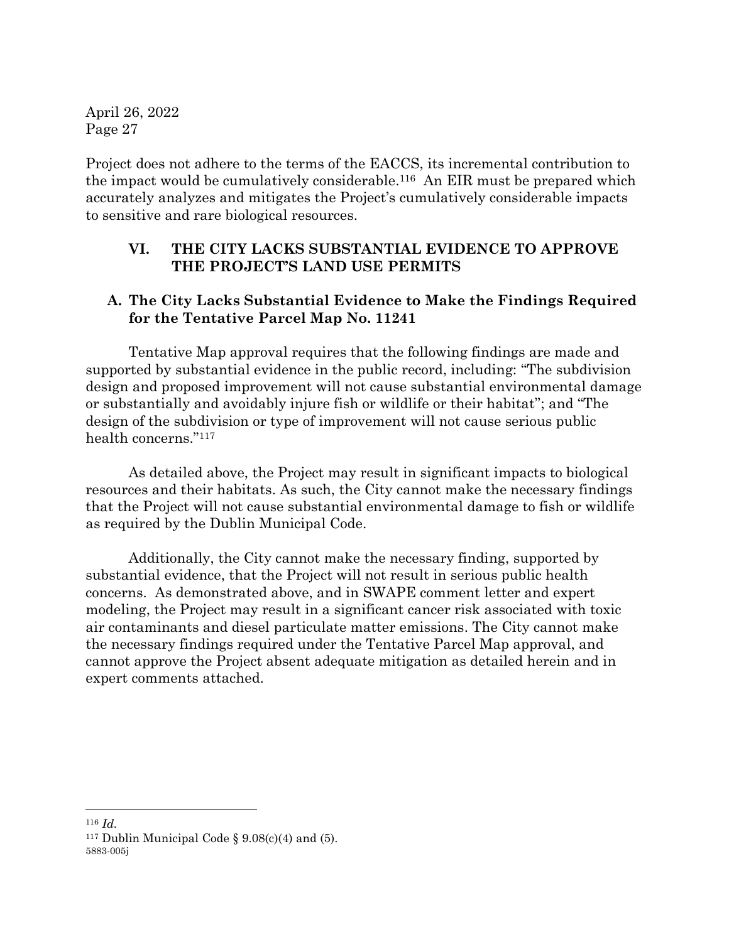Project does not adhere to the terms of the EACCS, its incremental contribution to the impact would be cumulatively considerable.116 An EIR must be prepared which accurately analyzes and mitigates the Project's cumulatively considerable impacts to sensitive and rare biological resources.

## **VI. THE CITY LACKS SUBSTANTIAL EVIDENCE TO APPROVE THE PROJECT'S LAND USE PERMITS**

## **A. The City Lacks Substantial Evidence to Make the Findings Required for the Tentative Parcel Map No. 11241**

Tentative Map approval requires that the following findings are made and supported by substantial evidence in the public record, including: "The subdivision design and proposed improvement will not cause substantial environmental damage or substantially and avoidably injure fish or wildlife or their habitat"; and "The design of the subdivision or type of improvement will not cause serious public health concerns." <sup>117</sup>

As detailed above, the Project may result in significant impacts to biological resources and their habitats. As such, the City cannot make the necessary findings that the Project will not cause substantial environmental damage to fish or wildlife as required by the Dublin Municipal Code.

Additionally, the City cannot make the necessary finding, supported by substantial evidence, that the Project will not result in serious public health concerns. As demonstrated above, and in SWAPE comment letter and expert modeling, the Project may result in a significant cancer risk associated with toxic air contaminants and diesel particulate matter emissions. The City cannot make the necessary findings required under the Tentative Parcel Map approval, and cannot approve the Project absent adequate mitigation as detailed herein and in expert comments attached.

<sup>116</sup> *Id.*

<sup>5883-005</sup>j <sup>117</sup> Dublin Municipal Code  $\S 9.08(c)(4)$  and (5).